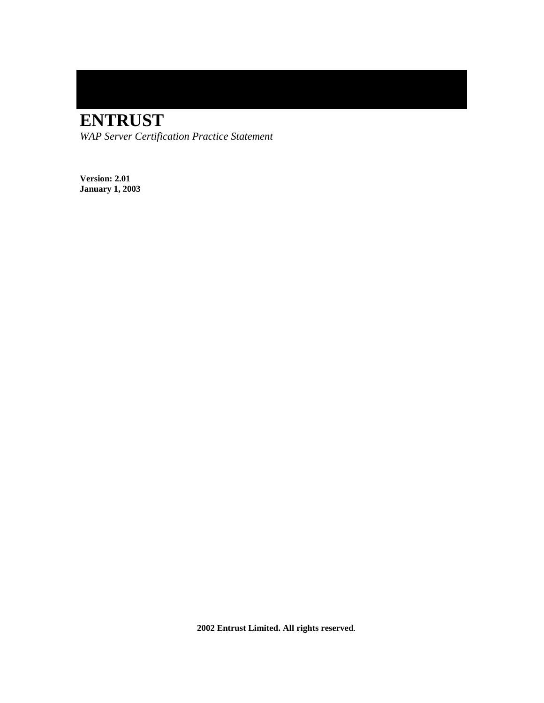# **ENTRUST**

*WAP Server Certification Practice Statement* 

**Version: 2.01 January 1, 2003** 

 **2002 Entrust Limited. All rights reserved**.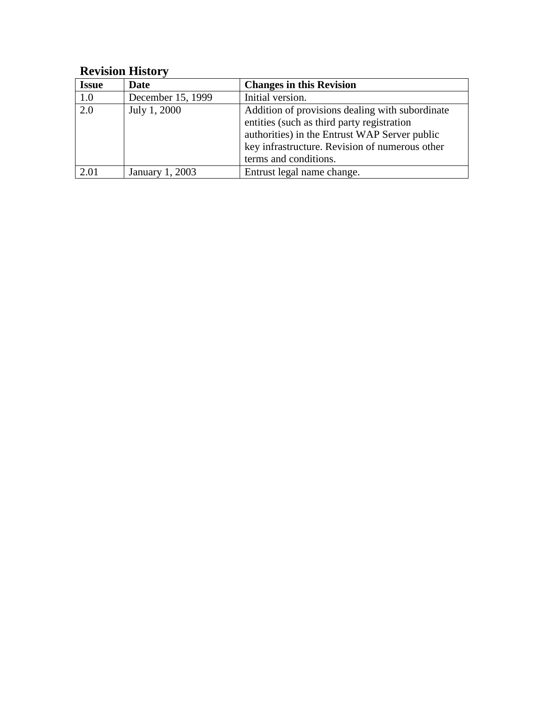## **Revision History**

| <b>Issue</b> | <b>Date</b>       | <b>Changes in this Revision</b>                 |
|--------------|-------------------|-------------------------------------------------|
| 1.0          | December 15, 1999 | Initial version.                                |
| 2.0          | July 1, 2000      | Addition of provisions dealing with subordinate |
|              |                   | entities (such as third party registration      |
|              |                   | authorities) in the Entrust WAP Server public   |
|              |                   | key infrastructure. Revision of numerous other  |
|              |                   | terms and conditions.                           |
| 2.01         | January 1, 2003   | Entrust legal name change.                      |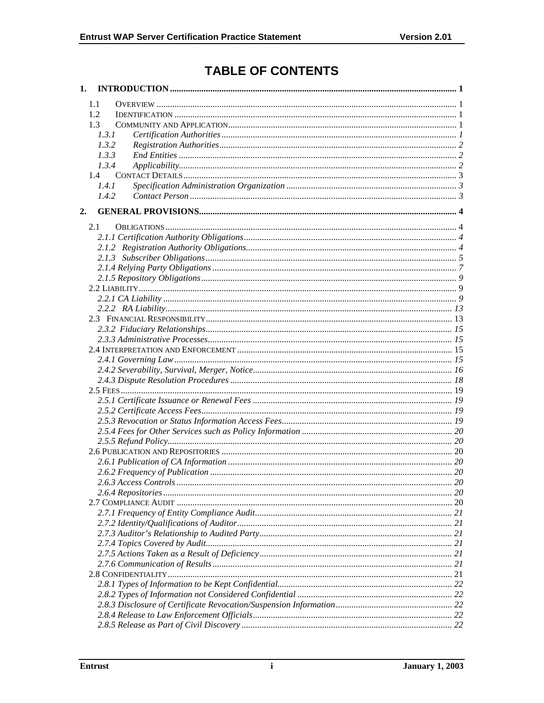## **TABLE OF CONTENTS**

|    | 1.1           |  |
|----|---------------|--|
|    | 1.2           |  |
|    | 1.3           |  |
|    | 1.3.1         |  |
|    | 1.3.2         |  |
|    | 1.3.3         |  |
|    | 1.3.4         |  |
|    | $1.4^{\circ}$ |  |
|    | 1.4.1         |  |
|    | 1.4.2         |  |
| 2. |               |  |
|    | 2.1           |  |
|    |               |  |
|    |               |  |
|    |               |  |
|    |               |  |
|    |               |  |
|    |               |  |
|    |               |  |
|    |               |  |
|    |               |  |
|    |               |  |
|    |               |  |
|    |               |  |
|    |               |  |
|    |               |  |
|    |               |  |
|    |               |  |
|    |               |  |
|    |               |  |
|    |               |  |
|    |               |  |
|    |               |  |
|    |               |  |
|    |               |  |
|    |               |  |
|    |               |  |
|    |               |  |
|    |               |  |
|    |               |  |
|    |               |  |
|    |               |  |
|    |               |  |
|    |               |  |
|    |               |  |
|    |               |  |
|    |               |  |
|    |               |  |
|    |               |  |
|    |               |  |
|    |               |  |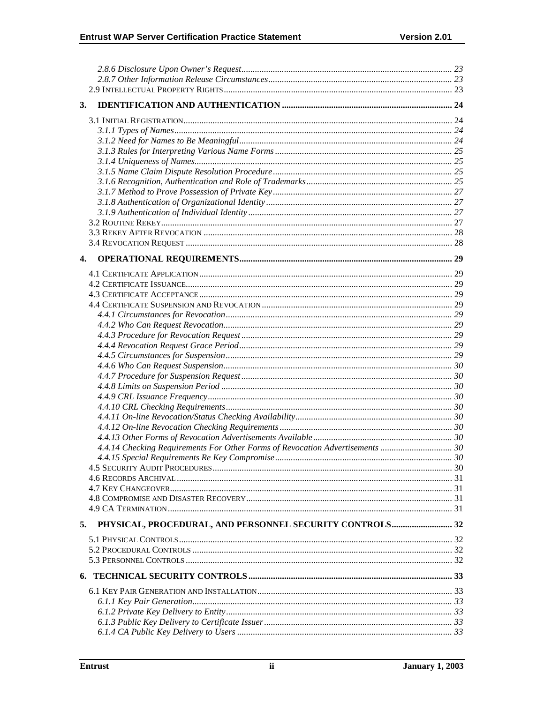| 3. |                                                                               |  |
|----|-------------------------------------------------------------------------------|--|
|    |                                                                               |  |
|    |                                                                               |  |
|    |                                                                               |  |
|    |                                                                               |  |
|    |                                                                               |  |
|    |                                                                               |  |
|    |                                                                               |  |
|    |                                                                               |  |
|    |                                                                               |  |
|    |                                                                               |  |
|    |                                                                               |  |
|    |                                                                               |  |
|    |                                                                               |  |
|    |                                                                               |  |
|    |                                                                               |  |
| 4. |                                                                               |  |
|    |                                                                               |  |
|    |                                                                               |  |
|    |                                                                               |  |
|    |                                                                               |  |
|    |                                                                               |  |
|    |                                                                               |  |
|    |                                                                               |  |
|    |                                                                               |  |
|    |                                                                               |  |
|    |                                                                               |  |
|    |                                                                               |  |
|    |                                                                               |  |
|    |                                                                               |  |
|    |                                                                               |  |
|    |                                                                               |  |
|    |                                                                               |  |
|    |                                                                               |  |
|    |                                                                               |  |
|    |                                                                               |  |
|    | 4.4.14 Checking Requirements For Other Forms of Revocation Advertisements  30 |  |
|    |                                                                               |  |
|    |                                                                               |  |
|    |                                                                               |  |
|    |                                                                               |  |
|    |                                                                               |  |
|    |                                                                               |  |
|    |                                                                               |  |
| 5. | PHYSICAL, PROCEDURAL, AND PERSONNEL SECURITY CONTROLS 32                      |  |
|    |                                                                               |  |
|    |                                                                               |  |
|    |                                                                               |  |
|    |                                                                               |  |
|    |                                                                               |  |
|    |                                                                               |  |
|    |                                                                               |  |
|    |                                                                               |  |
|    |                                                                               |  |
|    |                                                                               |  |
|    |                                                                               |  |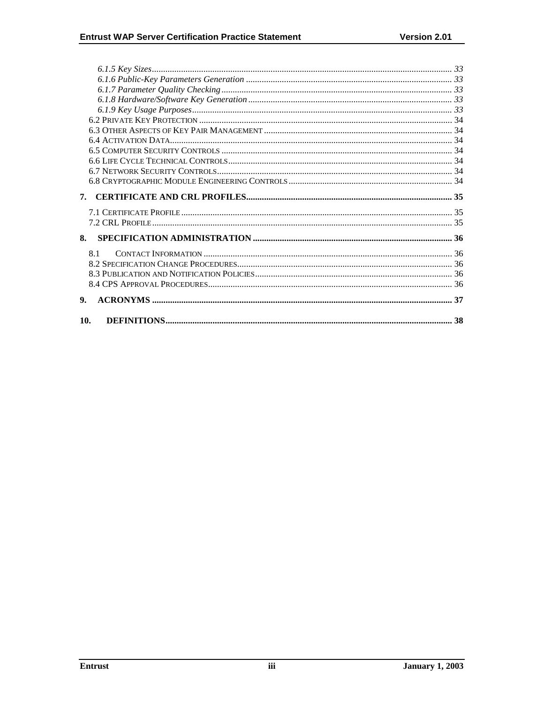| 7.  |  |
|-----|--|
|     |  |
|     |  |
| 8.  |  |
| 8.1 |  |
|     |  |
|     |  |
|     |  |
| 9.  |  |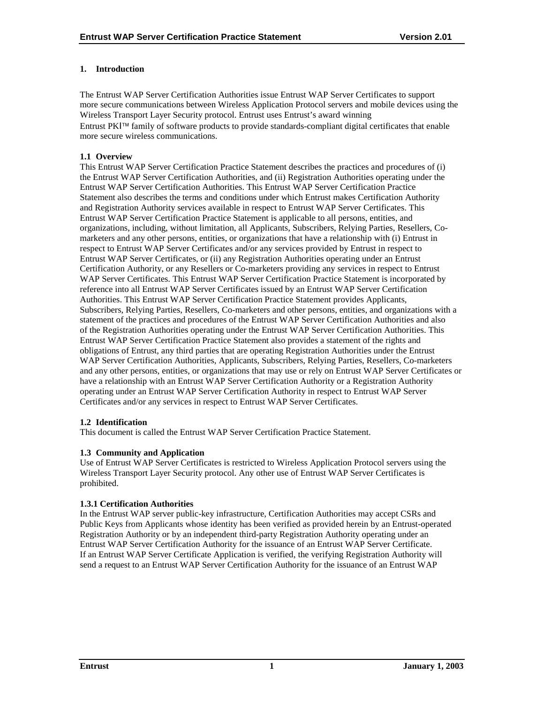## <span id="page-5-0"></span>**1. Introduction**

The Entrust WAP Server Certification Authorities issue Entrust WAP Server Certificates to support more secure communications between Wireless Application Protocol servers and mobile devices using the Wireless Transport Layer Security protocol. Entrust uses Entrust's award winning Entrust PKI<sup>™</sup> family of software products to provide standards-compliant digital certificates that enable more secure wireless communications.

## **1.1 Overview**

This Entrust WAP Server Certification Practice Statement describes the practices and procedures of (i) the Entrust WAP Server Certification Authorities, and (ii) Registration Authorities operating under the Entrust WAP Server Certification Authorities. This Entrust WAP Server Certification Practice Statement also describes the terms and conditions under which Entrust makes Certification Authority and Registration Authority services available in respect to Entrust WAP Server Certificates. This Entrust WAP Server Certification Practice Statement is applicable to all persons, entities, and organizations, including, without limitation, all Applicants, Subscribers, Relying Parties, Resellers, Comarketers and any other persons, entities, or organizations that have a relationship with (i) Entrust in respect to Entrust WAP Server Certificates and/or any services provided by Entrust in respect to Entrust WAP Server Certificates, or (ii) any Registration Authorities operating under an Entrust Certification Authority, or any Resellers or Co-marketers providing any services in respect to Entrust WAP Server Certificates. This Entrust WAP Server Certification Practice Statement is incorporated by reference into all Entrust WAP Server Certificates issued by an Entrust WAP Server Certification Authorities. This Entrust WAP Server Certification Practice Statement provides Applicants, Subscribers, Relying Parties, Resellers, Co-marketers and other persons, entities, and organizations with a statement of the practices and procedures of the Entrust WAP Server Certification Authorities and also of the Registration Authorities operating under the Entrust WAP Server Certification Authorities. This Entrust WAP Server Certification Practice Statement also provides a statement of the rights and obligations of Entrust, any third parties that are operating Registration Authorities under the Entrust WAP Server Certification Authorities, Applicants, Subscribers, Relying Parties, Resellers, Co-marketers and any other persons, entities, or organizations that may use or rely on Entrust WAP Server Certificates or have a relationship with an Entrust WAP Server Certification Authority or a Registration Authority operating under an Entrust WAP Server Certification Authority in respect to Entrust WAP Server Certificates and/or any services in respect to Entrust WAP Server Certificates.

## **1.2 Identification**

This document is called the Entrust WAP Server Certification Practice Statement.

## **1.3 Community and Application**

Use of Entrust WAP Server Certificates is restricted to Wireless Application Protocol servers using the Wireless Transport Layer Security protocol. Any other use of Entrust WAP Server Certificates is prohibited.

## **1.3.1 Certification Authorities**

In the Entrust WAP server public-key infrastructure, Certification Authorities may accept CSRs and Public Keys from Applicants whose identity has been verified as provided herein by an Entrust-operated Registration Authority or by an independent third-party Registration Authority operating under an Entrust WAP Server Certification Authority for the issuance of an Entrust WAP Server Certificate. If an Entrust WAP Server Certificate Application is verified, the verifying Registration Authority will send a request to an Entrust WAP Server Certification Authority for the issuance of an Entrust WAP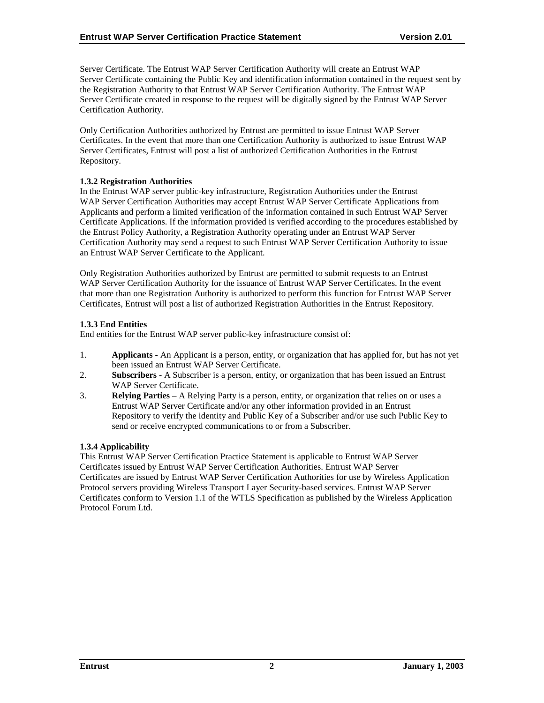<span id="page-6-0"></span>Server Certificate. The Entrust WAP Server Certification Authority will create an Entrust WAP Server Certificate containing the Public Key and identification information contained in the request sent by the Registration Authority to that Entrust WAP Server Certification Authority. The Entrust WAP Server Certificate created in response to the request will be digitally signed by the Entrust WAP Server Certification Authority.

Only Certification Authorities authorized by Entrust are permitted to issue Entrust WAP Server Certificates. In the event that more than one Certification Authority is authorized to issue Entrust WAP Server Certificates, Entrust will post a list of authorized Certification Authorities in the Entrust Repository.

## **1.3.2 Registration Authorities**

In the Entrust WAP server public-key infrastructure, Registration Authorities under the Entrust WAP Server Certification Authorities may accept Entrust WAP Server Certificate Applications from Applicants and perform a limited verification of the information contained in such Entrust WAP Server Certificate Applications. If the information provided is verified according to the procedures established by the Entrust Policy Authority, a Registration Authority operating under an Entrust WAP Server Certification Authority may send a request to such Entrust WAP Server Certification Authority to issue an Entrust WAP Server Certificate to the Applicant.

Only Registration Authorities authorized by Entrust are permitted to submit requests to an Entrust WAP Server Certification Authority for the issuance of Entrust WAP Server Certificates. In the event that more than one Registration Authority is authorized to perform this function for Entrust WAP Server Certificates, Entrust will post a list of authorized Registration Authorities in the Entrust Repository.

## **1.3.3 End Entities**

End entities for the Entrust WAP server public-key infrastructure consist of:

- 1. **Applicants**  An Applicant is a person, entity, or organization that has applied for, but has not yet been issued an Entrust WAP Server Certificate.
- 2. **Subscribers**  A Subscriber is a person, entity, or organization that has been issued an Entrust WAP Server Certificate.
- 3. **Relying Parties**  A Relying Party is a person, entity, or organization that relies on or uses a Entrust WAP Server Certificate and/or any other information provided in an Entrust Repository to verify the identity and Public Key of a Subscriber and/or use such Public Key to send or receive encrypted communications to or from a Subscriber.

## **1.3.4 Applicability**

This Entrust WAP Server Certification Practice Statement is applicable to Entrust WAP Server Certificates issued by Entrust WAP Server Certification Authorities. Entrust WAP Server Certificates are issued by Entrust WAP Server Certification Authorities for use by Wireless Application Protocol servers providing Wireless Transport Layer Security-based services. Entrust WAP Server Certificates conform to Version 1.1 of the WTLS Specification as published by the Wireless Application Protocol Forum Ltd.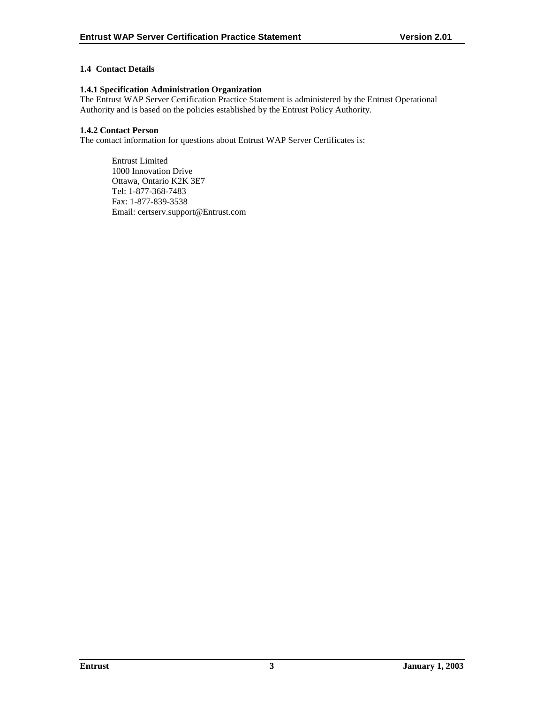## <span id="page-7-0"></span>**1.4 Contact Details**

#### **1.4.1 Specification Administration Organization**

The Entrust WAP Server Certification Practice Statement is administered by the Entrust Operational Authority and is based on the policies established by the Entrust Policy Authority.

## **1.4.2 Contact Person**

The contact information for questions about Entrust WAP Server Certificates is:

Entrust Limited 1000 Innovation Drive Ottawa, Ontario K2K 3E7 Tel: 1-877-368-7483 Fax: 1-877-839-3538 Email: certserv.support@Entrust.com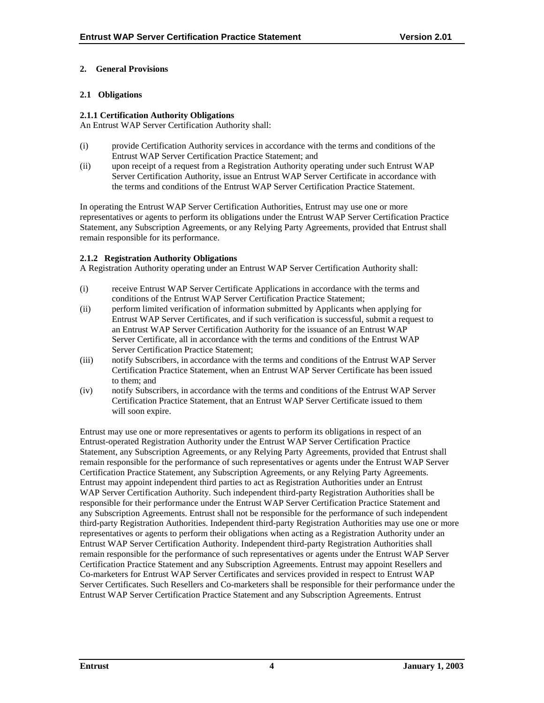## <span id="page-8-0"></span>**2. General Provisions**

## **2.1 Obligations**

## **2.1.1 Certification Authority Obligations**

An Entrust WAP Server Certification Authority shall:

- (i) provide Certification Authority services in accordance with the terms and conditions of the Entrust WAP Server Certification Practice Statement; and
- (ii) upon receipt of a request from a Registration Authority operating under such Entrust WAP Server Certification Authority, issue an Entrust WAP Server Certificate in accordance with the terms and conditions of the Entrust WAP Server Certification Practice Statement.

In operating the Entrust WAP Server Certification Authorities, Entrust may use one or more representatives or agents to perform its obligations under the Entrust WAP Server Certification Practice Statement, any Subscription Agreements, or any Relying Party Agreements, provided that Entrust shall remain responsible for its performance.

## **2.1.2 Registration Authority Obligations**

A Registration Authority operating under an Entrust WAP Server Certification Authority shall:

- (i) receive Entrust WAP Server Certificate Applications in accordance with the terms and conditions of the Entrust WAP Server Certification Practice Statement;
- (ii) perform limited verification of information submitted by Applicants when applying for Entrust WAP Server Certificates, and if such verification is successful, submit a request to an Entrust WAP Server Certification Authority for the issuance of an Entrust WAP Server Certificate, all in accordance with the terms and conditions of the Entrust WAP Server Certification Practice Statement;
- (iii) notify Subscribers, in accordance with the terms and conditions of the Entrust WAP Server Certification Practice Statement, when an Entrust WAP Server Certificate has been issued to them; and
- (iv) notify Subscribers, in accordance with the terms and conditions of the Entrust WAP Server Certification Practice Statement, that an Entrust WAP Server Certificate issued to them will soon expire.

Entrust may use one or more representatives or agents to perform its obligations in respect of an Entrust-operated Registration Authority under the Entrust WAP Server Certification Practice Statement, any Subscription Agreements, or any Relying Party Agreements, provided that Entrust shall remain responsible for the performance of such representatives or agents under the Entrust WAP Server Certification Practice Statement, any Subscription Agreements, or any Relying Party Agreements. Entrust may appoint independent third parties to act as Registration Authorities under an Entrust WAP Server Certification Authority. Such independent third-party Registration Authorities shall be responsible for their performance under the Entrust WAP Server Certification Practice Statement and any Subscription Agreements. Entrust shall not be responsible for the performance of such independent third-party Registration Authorities. Independent third-party Registration Authorities may use one or more representatives or agents to perform their obligations when acting as a Registration Authority under an Entrust WAP Server Certification Authority. Independent third-party Registration Authorities shall remain responsible for the performance of such representatives or agents under the Entrust WAP Server Certification Practice Statement and any Subscription Agreements. Entrust may appoint Resellers and Co-marketers for Entrust WAP Server Certificates and services provided in respect to Entrust WAP Server Certificates. Such Resellers and Co-marketers shall be responsible for their performance under the Entrust WAP Server Certification Practice Statement and any Subscription Agreements. Entrust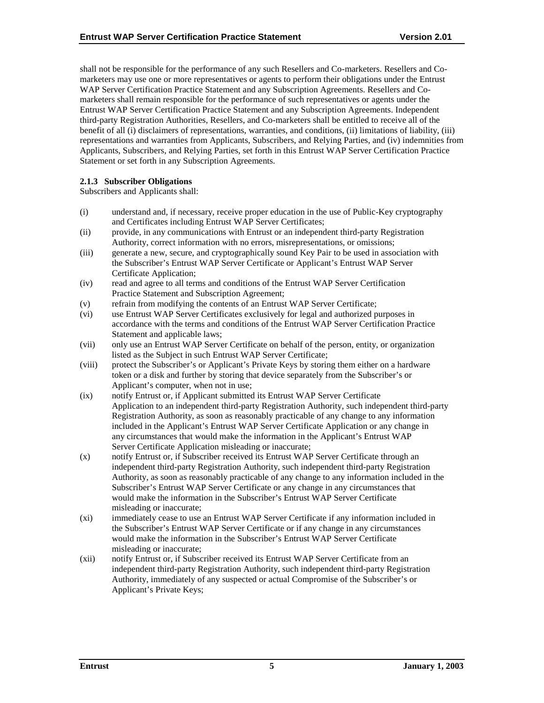<span id="page-9-0"></span>shall not be responsible for the performance of any such Resellers and Co-marketers. Resellers and Comarketers may use one or more representatives or agents to perform their obligations under the Entrust WAP Server Certification Practice Statement and any Subscription Agreements. Resellers and Comarketers shall remain responsible for the performance of such representatives or agents under the Entrust WAP Server Certification Practice Statement and any Subscription Agreements. Independent third-party Registration Authorities, Resellers, and Co-marketers shall be entitled to receive all of the benefit of all (i) disclaimers of representations, warranties, and conditions, (ii) limitations of liability, (iii) representations and warranties from Applicants, Subscribers, and Relying Parties, and (iv) indemnities from Applicants, Subscribers, and Relying Parties, set forth in this Entrust WAP Server Certification Practice Statement or set forth in any Subscription Agreements.

## **2.1.3 Subscriber Obligations**

Subscribers and Applicants shall:

- (i) understand and, if necessary, receive proper education in the use of Public-Key cryptography and Certificates including Entrust WAP Server Certificates;
- (ii) provide, in any communications with Entrust or an independent third-party Registration Authority, correct information with no errors, misrepresentations, or omissions;
- (iii) generate a new, secure, and cryptographically sound Key Pair to be used in association with the Subscriber's Entrust WAP Server Certificate or Applicant's Entrust WAP Server Certificate Application;
- (iv) read and agree to all terms and conditions of the Entrust WAP Server Certification Practice Statement and Subscription Agreement;
- (v) refrain from modifying the contents of an Entrust WAP Server Certificate;
- (vi) use Entrust WAP Server Certificates exclusively for legal and authorized purposes in accordance with the terms and conditions of the Entrust WAP Server Certification Practice Statement and applicable laws;
- (vii) only use an Entrust WAP Server Certificate on behalf of the person, entity, or organization listed as the Subject in such Entrust WAP Server Certificate;
- (viii) protect the Subscriber's or Applicant's Private Keys by storing them either on a hardware token or a disk and further by storing that device separately from the Subscriber's or Applicant's computer, when not in use;
- (ix) notify Entrust or, if Applicant submitted its Entrust WAP Server Certificate Application to an independent third-party Registration Authority, such independent third-party Registration Authority, as soon as reasonably practicable of any change to any information included in the Applicant's Entrust WAP Server Certificate Application or any change in any circumstances that would make the information in the Applicant's Entrust WAP Server Certificate Application misleading or inaccurate;
- (x) notify Entrust or, if Subscriber received its Entrust WAP Server Certificate through an independent third-party Registration Authority, such independent third-party Registration Authority, as soon as reasonably practicable of any change to any information included in the Subscriber's Entrust WAP Server Certificate or any change in any circumstances that would make the information in the Subscriber's Entrust WAP Server Certificate misleading or inaccurate;
- (xi) immediately cease to use an Entrust WAP Server Certificate if any information included in the Subscriber's Entrust WAP Server Certificate or if any change in any circumstances would make the information in the Subscriber's Entrust WAP Server Certificate misleading or inaccurate;
- (xii) notify Entrust or, if Subscriber received its Entrust WAP Server Certificate from an independent third-party Registration Authority, such independent third-party Registration Authority, immediately of any suspected or actual Compromise of the Subscriber's or Applicant's Private Keys;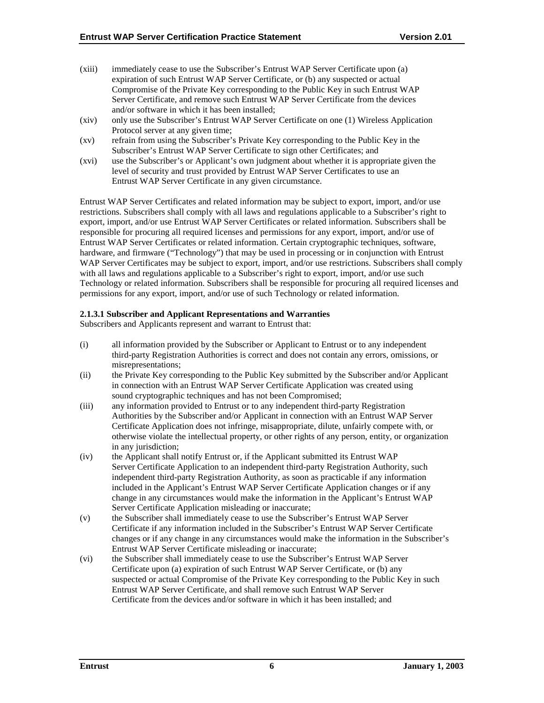- (xiii) immediately cease to use the Subscriber's Entrust WAP Server Certificate upon (a) expiration of such Entrust WAP Server Certificate, or (b) any suspected or actual Compromise of the Private Key corresponding to the Public Key in such Entrust WAP Server Certificate, and remove such Entrust WAP Server Certificate from the devices and/or software in which it has been installed;
- (xiv) only use the Subscriber's Entrust WAP Server Certificate on one (1) Wireless Application Protocol server at any given time;
- (xv) refrain from using the Subscriber's Private Key corresponding to the Public Key in the Subscriber's Entrust WAP Server Certificate to sign other Certificates; and
- (xvi) use the Subscriber's or Applicant's own judgment about whether it is appropriate given the level of security and trust provided by Entrust WAP Server Certificates to use an Entrust WAP Server Certificate in any given circumstance.

Entrust WAP Server Certificates and related information may be subject to export, import, and/or use restrictions. Subscribers shall comply with all laws and regulations applicable to a Subscriber's right to export, import, and/or use Entrust WAP Server Certificates or related information. Subscribers shall be responsible for procuring all required licenses and permissions for any export, import, and/or use of Entrust WAP Server Certificates or related information. Certain cryptographic techniques, software, hardware, and firmware ("Technology") that may be used in processing or in conjunction with Entrust WAP Server Certificates may be subject to export, import, and/or use restrictions. Subscribers shall comply with all laws and regulations applicable to a Subscriber's right to export, import, and/or use such Technology or related information. Subscribers shall be responsible for procuring all required licenses and permissions for any export, import, and/or use of such Technology or related information.

## **2.1.3.1 Subscriber and Applicant Representations and Warranties**

Subscribers and Applicants represent and warrant to Entrust that:

- (i) all information provided by the Subscriber or Applicant to Entrust or to any independent third-party Registration Authorities is correct and does not contain any errors, omissions, or misrepresentations;
- (ii) the Private Key corresponding to the Public Key submitted by the Subscriber and/or Applicant in connection with an Entrust WAP Server Certificate Application was created using sound cryptographic techniques and has not been Compromised;
- (iii) any information provided to Entrust or to any independent third-party Registration Authorities by the Subscriber and/or Applicant in connection with an Entrust WAP Server Certificate Application does not infringe, misappropriate, dilute, unfairly compete with, or otherwise violate the intellectual property, or other rights of any person, entity, or organization in any jurisdiction;
- (iv) the Applicant shall notify Entrust or, if the Applicant submitted its Entrust WAP Server Certificate Application to an independent third-party Registration Authority, such independent third-party Registration Authority, as soon as practicable if any information included in the Applicant's Entrust WAP Server Certificate Application changes or if any change in any circumstances would make the information in the Applicant's Entrust WAP Server Certificate Application misleading or inaccurate;
- (v) the Subscriber shall immediately cease to use the Subscriber's Entrust WAP Server Certificate if any information included in the Subscriber's Entrust WAP Server Certificate changes or if any change in any circumstances would make the information in the Subscriber's Entrust WAP Server Certificate misleading or inaccurate;
- (vi) the Subscriber shall immediately cease to use the Subscriber's Entrust WAP Server Certificate upon (a) expiration of such Entrust WAP Server Certificate, or (b) any suspected or actual Compromise of the Private Key corresponding to the Public Key in such Entrust WAP Server Certificate, and shall remove such Entrust WAP Server Certificate from the devices and/or software in which it has been installed; and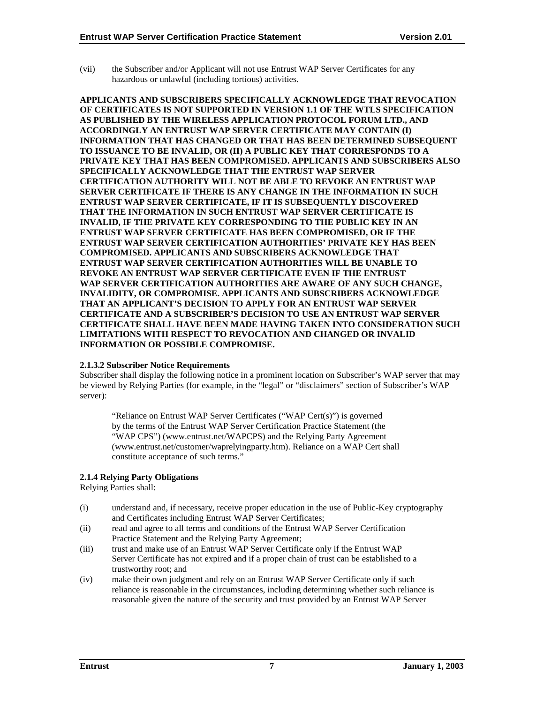<span id="page-11-0"></span>(vii) the Subscriber and/or Applicant will not use Entrust WAP Server Certificates for any hazardous or unlawful (including tortious) activities.

**APPLICANTS AND SUBSCRIBERS SPECIFICALLY ACKNOWLEDGE THAT REVOCATION OF CERTIFICATES IS NOT SUPPORTED IN VERSION 1.1 OF THE WTLS SPECIFICATION AS PUBLISHED BY THE WIRELESS APPLICATION PROTOCOL FORUM LTD., AND ACCORDINGLY AN ENTRUST WAP SERVER CERTIFICATE MAY CONTAIN (I) INFORMATION THAT HAS CHANGED OR THAT HAS BEEN DETERMINED SUBSEQUENT TO ISSUANCE TO BE INVALID, OR (II) A PUBLIC KEY THAT CORRESPONDS TO A PRIVATE KEY THAT HAS BEEN COMPROMISED. APPLICANTS AND SUBSCRIBERS ALSO SPECIFICALLY ACKNOWLEDGE THAT THE ENTRUST WAP SERVER CERTIFICATION AUTHORITY WILL NOT BE ABLE TO REVOKE AN ENTRUST WAP SERVER CERTIFICATE IF THERE IS ANY CHANGE IN THE INFORMATION IN SUCH ENTRUST WAP SERVER CERTIFICATE, IF IT IS SUBSEQUENTLY DISCOVERED THAT THE INFORMATION IN SUCH ENTRUST WAP SERVER CERTIFICATE IS INVALID, IF THE PRIVATE KEY CORRESPONDING TO THE PUBLIC KEY IN AN ENTRUST WAP SERVER CERTIFICATE HAS BEEN COMPROMISED, OR IF THE ENTRUST WAP SERVER CERTIFICATION AUTHORITIES' PRIVATE KEY HAS BEEN COMPROMISED. APPLICANTS AND SUBSCRIBERS ACKNOWLEDGE THAT ENTRUST WAP SERVER CERTIFICATION AUTHORITIES WILL BE UNABLE TO REVOKE AN ENTRUST WAP SERVER CERTIFICATE EVEN IF THE ENTRUST WAP SERVER CERTIFICATION AUTHORITIES ARE AWARE OF ANY SUCH CHANGE, INVALIDITY, OR COMPROMISE. APPLICANTS AND SUBSCRIBERS ACKNOWLEDGE THAT AN APPLICANT'S DECISION TO APPLY FOR AN ENTRUST WAP SERVER CERTIFICATE AND A SUBSCRIBER'S DECISION TO USE AN ENTRUST WAP SERVER CERTIFICATE SHALL HAVE BEEN MADE HAVING TAKEN INTO CONSIDERATION SUCH LIMITATIONS WITH RESPECT TO REVOCATION AND CHANGED OR INVALID INFORMATION OR POSSIBLE COMPROMISE.** 

#### **2.1.3.2 Subscriber Notice Requirements**

Subscriber shall display the following notice in a prominent location on Subscriber's WAP server that may be viewed by Relying Parties (for example, in the "legal" or "disclaimers" section of Subscriber's WAP server):

"Reliance on Entrust WAP Server Certificates ("WAP Cert(s)") is governed by the terms of the Entrust WAP Server Certification Practice Statement (the "WAP CPS") (www.entrust.net/WAPCPS) and the Relying Party Agreement (www.entrust.net/customer/waprelyingparty.htm). Reliance on a WAP Cert shall constitute acceptance of such terms."

## **2.1.4 Relying Party Obligations**

Relying Parties shall:

- (i) understand and, if necessary, receive proper education in the use of Public-Key cryptography and Certificates including Entrust WAP Server Certificates;
- (ii) read and agree to all terms and conditions of the Entrust WAP Server Certification Practice Statement and the Relying Party Agreement;
- (iii) trust and make use of an Entrust WAP Server Certificate only if the Entrust WAP Server Certificate has not expired and if a proper chain of trust can be established to a trustworthy root; and
- (iv) make their own judgment and rely on an Entrust WAP Server Certificate only if such reliance is reasonable in the circumstances, including determining whether such reliance is reasonable given the nature of the security and trust provided by an Entrust WAP Server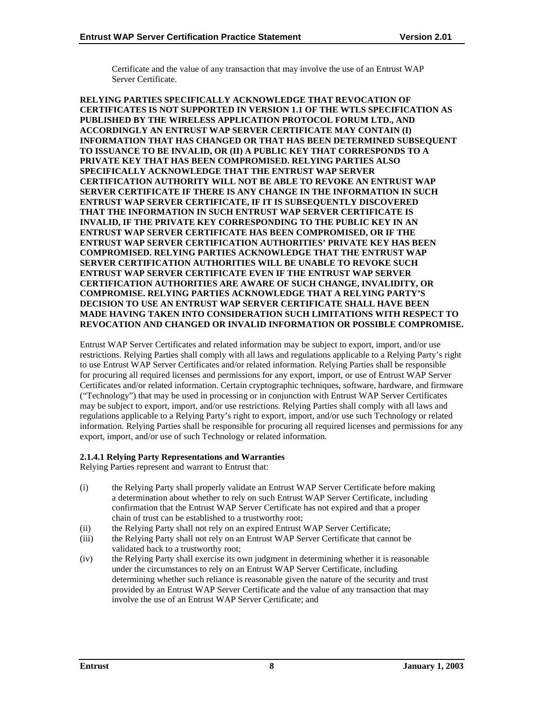Certificate and the value of any transaction that may involve the use of an Entrust WAP Server Certificate.

**RELYING PARTIES SPECIFICALLY ACKNOWLEDGE THAT REVOCATION OF CERTIFICATES IS NOT SUPPORTED IN VERSION 1.1 OF THE WTLS SPECIFICATION AS PUBLISHED BY THE WIRELESS APPLICATION PROTOCOL FORUM LTD., AND ACCORDINGLY AN ENTRUST WAP SERVER CERTIFICATE MAY CONTAIN (I) INFORMATION THAT HAS CHANGED OR THAT HAS BEEN DETERMINED SUBSEQUENT TO ISSUANCE TO BE INVALID, OR (II) A PUBLIC KEY THAT CORRESPONDS TO A PRIVATE KEY THAT HAS BEEN COMPROMISED. RELYING PARTIES ALSO SPECIFICALLY ACKNOWLEDGE THAT THE ENTRUST WAP SERVER CERTIFICATION AUTHORITY WILL NOT BE ABLE TO REVOKE AN ENTRUST WAP SERVER CERTIFICATE IF THERE IS ANY CHANGE IN THE INFORMATION IN SUCH ENTRUST WAP SERVER CERTIFICATE, IF IT IS SUBSEQUENTLY DISCOVERED THAT THE INFORMATION IN SUCH ENTRUST WAP SERVER CERTIFICATE IS INVALID, IF THE PRIVATE KEY CORRESPONDING TO THE PUBLIC KEY IN AN ENTRUST WAP SERVER CERTIFICATE HAS BEEN COMPROMISED, OR IF THE ENTRUST WAP SERVER CERTIFICATION AUTHORITIES' PRIVATE KEY HAS BEEN COMPROMISED. RELYING PARTIES ACKNOWLEDGE THAT THE ENTRUST WAP SERVER CERTIFICATION AUTHORITIES WILL BE UNABLE TO REVOKE SUCH ENTRUST WAP SERVER CERTIFICATE EVEN IF THE ENTRUST WAP SERVER CERTIFICATION AUTHORITIES ARE AWARE OF SUCH CHANGE, INVALIDITY, OR COMPROMISE. RELYING PARTIES ACKNOWLEDGE THAT A RELYING PARTY'S DECISION TO USE AN ENTRUST WAP SERVER CERTIFICATE SHALL HAVE BEEN MADE HAVING TAKEN INTO CONSIDERATION SUCH LIMITATIONS WITH RESPECT TO REVOCATION AND CHANGED OR INVALID INFORMATION OR POSSIBLE COMPROMISE.** 

Entrust WAP Server Certificates and related information may be subject to export, import, and/or use restrictions. Relying Parties shall comply with all laws and regulations applicable to a Relying Party's right to use Entrust WAP Server Certificates and/or related information. Relying Parties shall be responsible for procuring all required licenses and permissions for any export, import, or use of Entrust WAP Server Certificates and/or related information. Certain cryptographic techniques, software, hardware, and firmware ("Technology") that may be used in processing or in conjunction with Entrust WAP Server Certificates may be subject to export, import, and/or use restrictions. Relying Parties shall comply with all laws and regulations applicable to a Relying Party's right to export, import, and/or use such Technology or related information. Relying Parties shall be responsible for procuring all required licenses and permissions for any export, import, and/or use of such Technology or related information.

## **2.1.4.1 Relying Party Representations and Warranties**

Relying Parties represent and warrant to Entrust that:

- (i) the Relying Party shall properly validate an Entrust WAP Server Certificate before making a determination about whether to rely on such Entrust WAP Server Certificate, including confirmation that the Entrust WAP Server Certificate has not expired and that a proper chain of trust can be established to a trustworthy root;
- (ii) the Relying Party shall not rely on an expired Entrust WAP Server Certificate;
- (iii) the Relying Party shall not rely on an Entrust WAP Server Certificate that cannot be validated back to a trustworthy root;
- (iv) the Relying Party shall exercise its own judgment in determining whether it is reasonable under the circumstances to rely on an Entrust WAP Server Certificate, including determining whether such reliance is reasonable given the nature of the security and trust provided by an Entrust WAP Server Certificate and the value of any transaction that may involve the use of an Entrust WAP Server Certificate; and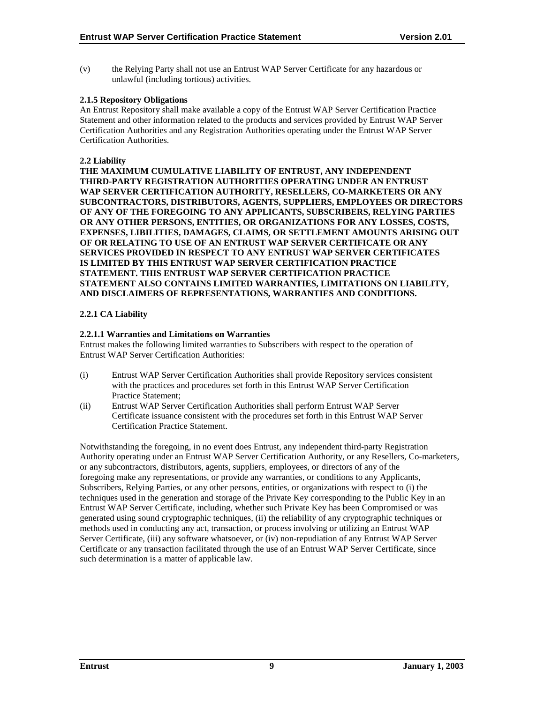<span id="page-13-0"></span>(v) the Relying Party shall not use an Entrust WAP Server Certificate for any hazardous or unlawful (including tortious) activities.

## **2.1.5 Repository Obligations**

An Entrust Repository shall make available a copy of the Entrust WAP Server Certification Practice Statement and other information related to the products and services provided by Entrust WAP Server Certification Authorities and any Registration Authorities operating under the Entrust WAP Server Certification Authorities.

## **2.2 Liability**

**THE MAXIMUM CUMULATIVE LIABILITY OF ENTRUST, ANY INDEPENDENT THIRD-PARTY REGISTRATION AUTHORITIES OPERATING UNDER AN ENTRUST WAP SERVER CERTIFICATION AUTHORITY, RESELLERS, CO-MARKETERS OR ANY SUBCONTRACTORS, DISTRIBUTORS, AGENTS, SUPPLIERS, EMPLOYEES OR DIRECTORS OF ANY OF THE FOREGOING TO ANY APPLICANTS, SUBSCRIBERS, RELYING PARTIES OR ANY OTHER PERSONS, ENTITIES, OR ORGANIZATIONS FOR ANY LOSSES, COSTS, EXPENSES, LIBILITIES, DAMAGES, CLAIMS, OR SETTLEMENT AMOUNTS ARISING OUT OF OR RELATING TO USE OF AN ENTRUST WAP SERVER CERTIFICATE OR ANY SERVICES PROVIDED IN RESPECT TO ANY ENTRUST WAP SERVER CERTIFICATES IS LIMITED BY THIS ENTRUST WAP SERVER CERTIFICATION PRACTICE STATEMENT. THIS ENTRUST WAP SERVER CERTIFICATION PRACTICE STATEMENT ALSO CONTAINS LIMITED WARRANTIES, LIMITATIONS ON LIABILITY, AND DISCLAIMERS OF REPRESENTATIONS, WARRANTIES AND CONDITIONS.** 

## **2.2.1 CA Liability**

## **2.2.1.1 Warranties and Limitations on Warranties**

Entrust makes the following limited warranties to Subscribers with respect to the operation of Entrust WAP Server Certification Authorities:

- (i) Entrust WAP Server Certification Authorities shall provide Repository services consistent with the practices and procedures set forth in this Entrust WAP Server Certification Practice Statement;
- (ii) Entrust WAP Server Certification Authorities shall perform Entrust WAP Server Certificate issuance consistent with the procedures set forth in this Entrust WAP Server Certification Practice Statement.

Notwithstanding the foregoing, in no event does Entrust, any independent third-party Registration Authority operating under an Entrust WAP Server Certification Authority, or any Resellers, Co-marketers, or any subcontractors, distributors, agents, suppliers, employees, or directors of any of the foregoing make any representations, or provide any warranties, or conditions to any Applicants, Subscribers, Relying Parties, or any other persons, entities, or organizations with respect to (i) the techniques used in the generation and storage of the Private Key corresponding to the Public Key in an Entrust WAP Server Certificate, including, whether such Private Key has been Compromised or was generated using sound cryptographic techniques, (ii) the reliability of any cryptographic techniques or methods used in conducting any act, transaction, or process involving or utilizing an Entrust WAP Server Certificate, (iii) any software whatsoever, or (iv) non-repudiation of any Entrust WAP Server Certificate or any transaction facilitated through the use of an Entrust WAP Server Certificate, since such determination is a matter of applicable law.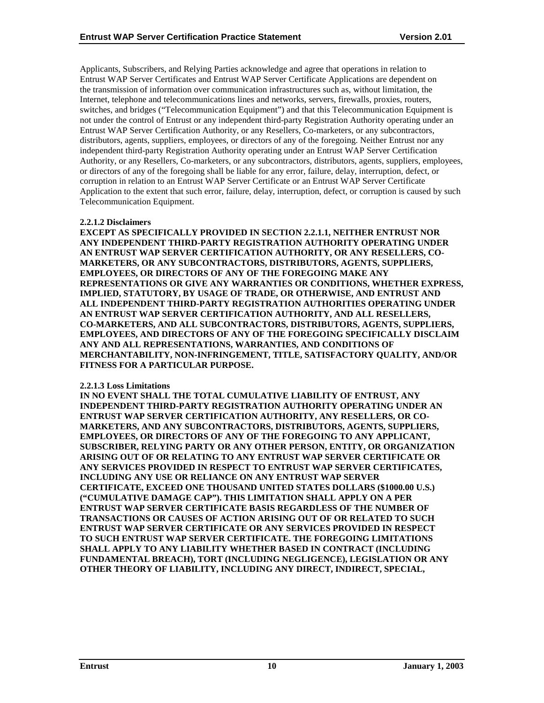Applicants, Subscribers, and Relying Parties acknowledge and agree that operations in relation to Entrust WAP Server Certificates and Entrust WAP Server Certificate Applications are dependent on the transmission of information over communication infrastructures such as, without limitation, the Internet, telephone and telecommunications lines and networks, servers, firewalls, proxies, routers, switches, and bridges ("Telecommunication Equipment") and that this Telecommunication Equipment is not under the control of Entrust or any independent third-party Registration Authority operating under an Entrust WAP Server Certification Authority, or any Resellers, Co-marketers, or any subcontractors, distributors, agents, suppliers, employees, or directors of any of the foregoing. Neither Entrust nor any independent third-party Registration Authority operating under an Entrust WAP Server Certification Authority, or any Resellers, Co-marketers, or any subcontractors, distributors, agents, suppliers, employees, or directors of any of the foregoing shall be liable for any error, failure, delay, interruption, defect, or corruption in relation to an Entrust WAP Server Certificate or an Entrust WAP Server Certificate Application to the extent that such error, failure, delay, interruption, defect, or corruption is caused by such Telecommunication Equipment.

## **2.2.1.2 Disclaimers**

**EXCEPT AS SPECIFICALLY PROVIDED IN SECTION 2.2.1.1, NEITHER ENTRUST NOR ANY INDEPENDENT THIRD-PARTY REGISTRATION AUTHORITY OPERATING UNDER AN ENTRUST WAP SERVER CERTIFICATION AUTHORITY, OR ANY RESELLERS, CO-MARKETERS, OR ANY SUBCONTRACTORS, DISTRIBUTORS, AGENTS, SUPPLIERS, EMPLOYEES, OR DIRECTORS OF ANY OF THE FOREGOING MAKE ANY REPRESENTATIONS OR GIVE ANY WARRANTIES OR CONDITIONS, WHETHER EXPRESS, IMPLIED, STATUTORY, BY USAGE OF TRADE, OR OTHERWISE, AND ENTRUST AND ALL INDEPENDENT THIRD-PARTY REGISTRATION AUTHORITIES OPERATING UNDER AN ENTRUST WAP SERVER CERTIFICATION AUTHORITY, AND ALL RESELLERS, CO-MARKETERS, AND ALL SUBCONTRACTORS, DISTRIBUTORS, AGENTS, SUPPLIERS, EMPLOYEES, AND DIRECTORS OF ANY OF THE FOREGOING SPECIFICALLY DISCLAIM ANY AND ALL REPRESENTATIONS, WARRANTIES, AND CONDITIONS OF MERCHANTABILITY, NON-INFRINGEMENT, TITLE, SATISFACTORY QUALITY, AND/OR FITNESS FOR A PARTICULAR PURPOSE.** 

#### **2.2.1.3 Loss Limitations**

**IN NO EVENT SHALL THE TOTAL CUMULATIVE LIABILITY OF ENTRUST, ANY INDEPENDENT THIRD-PARTY REGISTRATION AUTHORITY OPERATING UNDER AN ENTRUST WAP SERVER CERTIFICATION AUTHORITY, ANY RESELLERS, OR CO-MARKETERS, AND ANY SUBCONTRACTORS, DISTRIBUTORS, AGENTS, SUPPLIERS, EMPLOYEES, OR DIRECTORS OF ANY OF THE FOREGOING TO ANY APPLICANT, SUBSCRIBER, RELYING PARTY OR ANY OTHER PERSON, ENTITY, OR ORGANIZATION ARISING OUT OF OR RELATING TO ANY ENTRUST WAP SERVER CERTIFICATE OR ANY SERVICES PROVIDED IN RESPECT TO ENTRUST WAP SERVER CERTIFICATES, INCLUDING ANY USE OR RELIANCE ON ANY ENTRUST WAP SERVER CERTIFICATE, EXCEED ONE THOUSAND UNITED STATES DOLLARS (\$1000.00 U.S.) ("CUMULATIVE DAMAGE CAP"). THIS LIMITATION SHALL APPLY ON A PER ENTRUST WAP SERVER CERTIFICATE BASIS REGARDLESS OF THE NUMBER OF TRANSACTIONS OR CAUSES OF ACTION ARISING OUT OF OR RELATED TO SUCH ENTRUST WAP SERVER CERTIFICATE OR ANY SERVICES PROVIDED IN RESPECT TO SUCH ENTRUST WAP SERVER CERTIFICATE. THE FOREGOING LIMITATIONS SHALL APPLY TO ANY LIABILITY WHETHER BASED IN CONTRACT (INCLUDING FUNDAMENTAL BREACH), TORT (INCLUDING NEGLIGENCE), LEGISLATION OR ANY OTHER THEORY OF LIABILITY, INCLUDING ANY DIRECT, INDIRECT, SPECIAL,**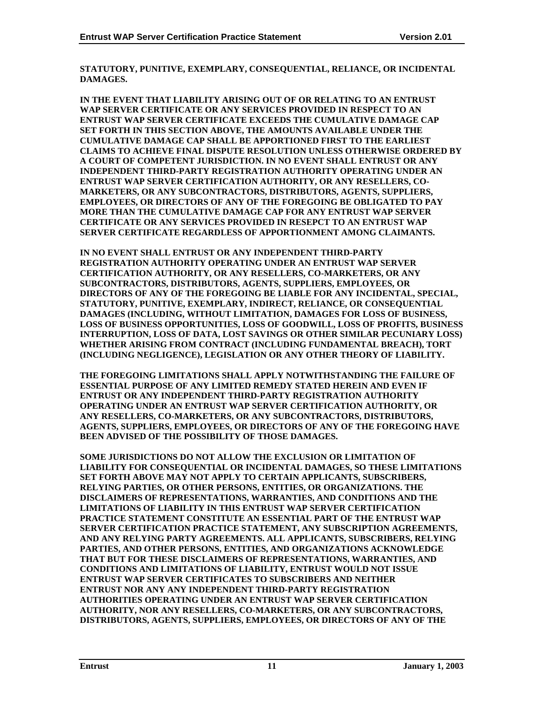**STATUTORY, PUNITIVE, EXEMPLARY, CONSEQUENTIAL, RELIANCE, OR INCIDENTAL DAMAGES.** 

**IN THE EVENT THAT LIABILITY ARISING OUT OF OR RELATING TO AN ENTRUST WAP SERVER CERTIFICATE OR ANY SERVICES PROVIDED IN RESPECT TO AN ENTRUST WAP SERVER CERTIFICATE EXCEEDS THE CUMULATIVE DAMAGE CAP SET FORTH IN THIS SECTION ABOVE, THE AMOUNTS AVAILABLE UNDER THE CUMULATIVE DAMAGE CAP SHALL BE APPORTIONED FIRST TO THE EARLIEST CLAIMS TO ACHIEVE FINAL DISPUTE RESOLUTION UNLESS OTHERWISE ORDERED BY A COURT OF COMPETENT JURISDICTION. IN NO EVENT SHALL ENTRUST OR ANY INDEPENDENT THIRD-PARTY REGISTRATION AUTHORITY OPERATING UNDER AN ENTRUST WAP SERVER CERTIFICATION AUTHORITY, OR ANY RESELLERS, CO-MARKETERS, OR ANY SUBCONTRACTORS, DISTRIBUTORS, AGENTS, SUPPLIERS, EMPLOYEES, OR DIRECTORS OF ANY OF THE FOREGOING BE OBLIGATED TO PAY MORE THAN THE CUMULATIVE DAMAGE CAP FOR ANY ENTRUST WAP SERVER CERTIFICATE OR ANY SERVICES PROVIDED IN RESEPCT TO AN ENTRUST WAP SERVER CERTIFICATE REGARDLESS OF APPORTIONMENT AMONG CLAIMANTS.** 

**IN NO EVENT SHALL ENTRUST OR ANY INDEPENDENT THIRD-PARTY REGISTRATION AUTHORITY OPERATING UNDER AN ENTRUST WAP SERVER CERTIFICATION AUTHORITY, OR ANY RESELLERS, CO-MARKETERS, OR ANY SUBCONTRACTORS, DISTRIBUTORS, AGENTS, SUPPLIERS, EMPLOYEES, OR DIRECTORS OF ANY OF THE FOREGOING BE LIABLE FOR ANY INCIDENTAL, SPECIAL, STATUTORY, PUNITIVE, EXEMPLARY, INDIRECT, RELIANCE, OR CONSEQUENTIAL DAMAGES (INCLUDING, WITHOUT LIMITATION, DAMAGES FOR LOSS OF BUSINESS, LOSS OF BUSINESS OPPORTUNITIES, LOSS OF GOODWILL, LOSS OF PROFITS, BUSINESS INTERRUPTION, LOSS OF DATA, LOST SAVINGS OR OTHER SIMILAR PECUNIARY LOSS) WHETHER ARISING FROM CONTRACT (INCLUDING FUNDAMENTAL BREACH), TORT (INCLUDING NEGLIGENCE), LEGISLATION OR ANY OTHER THEORY OF LIABILITY.** 

**THE FOREGOING LIMITATIONS SHALL APPLY NOTWITHSTANDING THE FAILURE OF ESSENTIAL PURPOSE OF ANY LIMITED REMEDY STATED HEREIN AND EVEN IF ENTRUST OR ANY INDEPENDENT THIRD-PARTY REGISTRATION AUTHORITY OPERATING UNDER AN ENTRUST WAP SERVER CERTIFICATION AUTHORITY, OR ANY RESELLERS, CO-MARKETERS, OR ANY SUBCONTRACTORS, DISTRIBUTORS, AGENTS, SUPPLIERS, EMPLOYEES, OR DIRECTORS OF ANY OF THE FOREGOING HAVE BEEN ADVISED OF THE POSSIBILITY OF THOSE DAMAGES.** 

**SOME JURISDICTIONS DO NOT ALLOW THE EXCLUSION OR LIMITATION OF LIABILITY FOR CONSEQUENTIAL OR INCIDENTAL DAMAGES, SO THESE LIMITATIONS SET FORTH ABOVE MAY NOT APPLY TO CERTAIN APPLICANTS, SUBSCRIBERS, RELYING PARTIES, OR OTHER PERSONS, ENTITIES, OR ORGANIZATIONS. THE DISCLAIMERS OF REPRESENTATIONS, WARRANTIES, AND CONDITIONS AND THE LIMITATIONS OF LIABILITY IN THIS ENTRUST WAP SERVER CERTIFICATION PRACTICE STATEMENT CONSTITUTE AN ESSENTIAL PART OF THE ENTRUST WAP SERVER CERTIFICATION PRACTICE STATEMENT, ANY SUBSCRIPTION AGREEMENTS, AND ANY RELYING PARTY AGREEMENTS. ALL APPLICANTS, SUBSCRIBERS, RELYING PARTIES, AND OTHER PERSONS, ENTITIES, AND ORGANIZATIONS ACKNOWLEDGE THAT BUT FOR THESE DISCLAIMERS OF REPRESENTATIONS, WARRANTIES, AND CONDITIONS AND LIMITATIONS OF LIABILITY, ENTRUST WOULD NOT ISSUE ENTRUST WAP SERVER CERTIFICATES TO SUBSCRIBERS AND NEITHER ENTRUST NOR ANY ANY INDEPENDENT THIRD-PARTY REGISTRATION AUTHORITIES OPERATING UNDER AN ENTRUST WAP SERVER CERTIFICATION AUTHORITY, NOR ANY RESELLERS, CO-MARKETERS, OR ANY SUBCONTRACTORS, DISTRIBUTORS, AGENTS, SUPPLIERS, EMPLOYEES, OR DIRECTORS OF ANY OF THE**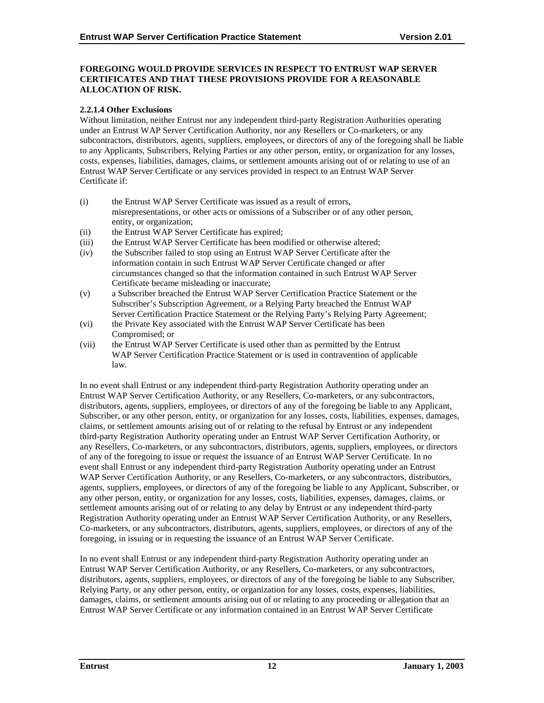## **FOREGOING WOULD PROVIDE SERVICES IN RESPECT TO ENTRUST WAP SERVER CERTIFICATES AND THAT THESE PROVISIONS PROVIDE FOR A REASONABLE ALLOCATION OF RISK.**

## **2.2.1.4 Other Exclusions**

Without limitation, neither Entrust nor any independent third-party Registration Authorities operating under an Entrust WAP Server Certification Authority, nor any Resellers or Co-marketers, or any subcontractors, distributors, agents, suppliers, employees, or directors of any of the foregoing shall be liable to any Applicants, Subscribers, Relying Parties or any other person, entity, or organization for any losses, costs, expenses, liabilities, damages, claims, or settlement amounts arising out of or relating to use of an Entrust WAP Server Certificate or any services provided in respect to an Entrust WAP Server Certificate if:

- (i) the Entrust WAP Server Certificate was issued as a result of errors, misrepresentations, or other acts or omissions of a Subscriber or of any other person, entity, or organization;
- (ii) the Entrust WAP Server Certificate has expired;
- (iii) the Entrust WAP Server Certificate has been modified or otherwise altered;
- (iv) the Subscriber failed to stop using an Entrust WAP Server Certificate after the information contain in such Entrust WAP Server Certificate changed or after circumstances changed so that the information contained in such Entrust WAP Server Certificate became misleading or inaccurate;
- (v) a Subscriber breached the Entrust WAP Server Certification Practice Statement or the Subscriber's Subscription Agreement, or a Relying Party breached the Entrust WAP Server Certification Practice Statement or the Relying Party's Relying Party Agreement;
- (vi) the Private Key associated with the Entrust WAP Server Certificate has been Compromised; or
- (vii) the Entrust WAP Server Certificate is used other than as permitted by the Entrust WAP Server Certification Practice Statement or is used in contravention of applicable law.

In no event shall Entrust or any independent third-party Registration Authority operating under an Entrust WAP Server Certification Authority, or any Resellers, Co-marketers, or any subcontractors, distributors, agents, suppliers, employees, or directors of any of the foregoing be liable to any Applicant, Subscriber, or any other person, entity, or organization for any losses, costs, liabilities, expenses, damages, claims, or settlement amounts arising out of or relating to the refusal by Entrust or any independent third-party Registration Authority operating under an Entrust WAP Server Certification Authority, or any Resellers, Co-marketers, or any subcontractors, distributors, agents, suppliers, employees, or directors of any of the foregoing to issue or request the issuance of an Entrust WAP Server Certificate. In no event shall Entrust or any independent third-party Registration Authority operating under an Entrust WAP Server Certification Authority, or any Resellers, Co-marketers, or any subcontractors, distributors, agents, suppliers, employees, or directors of any of the foregoing be liable to any Applicant, Subscriber, or any other person, entity, or organization for any losses, costs, liabilities, expenses, damages, claims, or settlement amounts arising out of or relating to any delay by Entrust or any independent third-party Registration Authority operating under an Entrust WAP Server Certification Authority, or any Resellers, Co-marketers, or any subcontractors, distributors, agents, suppliers, employees, or directors of any of the foregoing, in issuing or in requesting the issuance of an Entrust WAP Server Certificate.

In no event shall Entrust or any independent third-party Registration Authority operating under an Entrust WAP Server Certification Authority, or any Resellers, Co-marketers, or any subcontractors, distributors, agents, suppliers, employees, or directors of any of the foregoing be liable to any Subscriber, Relying Party, or any other person, entity, or organization for any losses, costs, expenses, liabilities, damages, claims, or settlement amounts arising out of or relating to any proceeding or allegation that an Entrust WAP Server Certificate or any information contained in an Entrust WAP Server Certificate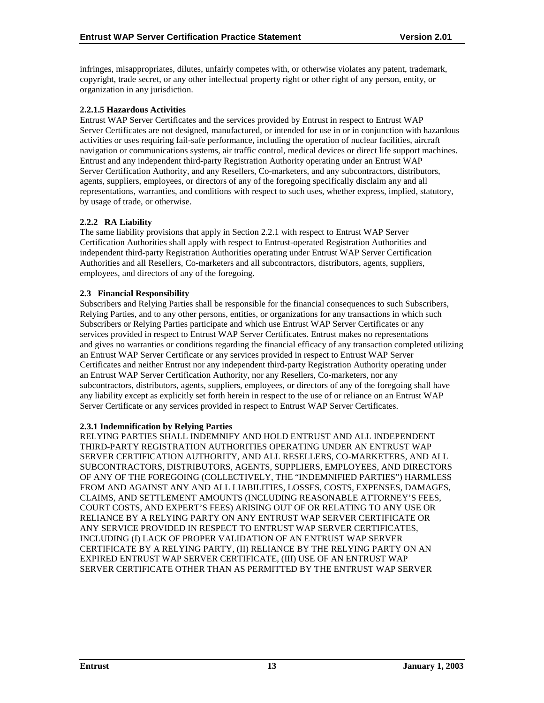<span id="page-17-0"></span>infringes, misappropriates, dilutes, unfairly competes with, or otherwise violates any patent, trademark, copyright, trade secret, or any other intellectual property right or other right of any person, entity, or organization in any jurisdiction.

## **2.2.1.5 Hazardous Activities**

Entrust WAP Server Certificates and the services provided by Entrust in respect to Entrust WAP Server Certificates are not designed, manufactured, or intended for use in or in conjunction with hazardous activities or uses requiring fail-safe performance, including the operation of nuclear facilities, aircraft navigation or communications systems, air traffic control, medical devices or direct life support machines. Entrust and any independent third-party Registration Authority operating under an Entrust WAP Server Certification Authority, and any Resellers, Co-marketers, and any subcontractors, distributors, agents, suppliers, employees, or directors of any of the foregoing specifically disclaim any and all representations, warranties, and conditions with respect to such uses, whether express, implied, statutory, by usage of trade, or otherwise.

## **2.2.2 RA Liability**

The same liability provisions that apply in Section 2.2.1 with respect to Entrust WAP Server Certification Authorities shall apply with respect to Entrust-operated Registration Authorities and independent third-party Registration Authorities operating under Entrust WAP Server Certification Authorities and all Resellers, Co-marketers and all subcontractors, distributors, agents, suppliers, employees, and directors of any of the foregoing.

#### **2.3 Financial Responsibility**

Subscribers and Relying Parties shall be responsible for the financial consequences to such Subscribers, Relying Parties, and to any other persons, entities, or organizations for any transactions in which such Subscribers or Relying Parties participate and which use Entrust WAP Server Certificates or any services provided in respect to Entrust WAP Server Certificates. Entrust makes no representations and gives no warranties or conditions regarding the financial efficacy of any transaction completed utilizing an Entrust WAP Server Certificate or any services provided in respect to Entrust WAP Server Certificates and neither Entrust nor any independent third-party Registration Authority operating under an Entrust WAP Server Certification Authority, nor any Resellers, Co-marketers, nor any subcontractors, distributors, agents, suppliers, employees, or directors of any of the foregoing shall have any liability except as explicitly set forth herein in respect to the use of or reliance on an Entrust WAP Server Certificate or any services provided in respect to Entrust WAP Server Certificates.

#### **2.3.1 Indemnification by Relying Parties**

RELYING PARTIES SHALL INDEMNIFY AND HOLD ENTRUST AND ALL INDEPENDENT THIRD-PARTY REGISTRATION AUTHORITIES OPERATING UNDER AN ENTRUST WAP SERVER CERTIFICATION AUTHORITY, AND ALL RESELLERS, CO-MARKETERS, AND ALL SUBCONTRACTORS, DISTRIBUTORS, AGENTS, SUPPLIERS, EMPLOYEES, AND DIRECTORS OF ANY OF THE FOREGOING (COLLECTIVELY, THE "INDEMNIFIED PARTIES") HARMLESS FROM AND AGAINST ANY AND ALL LIABILITIES, LOSSES, COSTS, EXPENSES, DAMAGES, CLAIMS, AND SETTLEMENT AMOUNTS (INCLUDING REASONABLE ATTORNEY'S FEES, COURT COSTS, AND EXPERT'S FEES) ARISING OUT OF OR RELATING TO ANY USE OR RELIANCE BY A RELYING PARTY ON ANY ENTRUST WAP SERVER CERTIFICATE OR ANY SERVICE PROVIDED IN RESPECT TO ENTRUST WAP SERVER CERTIFICATES, INCLUDING (I) LACK OF PROPER VALIDATION OF AN ENTRUST WAP SERVER CERTIFICATE BY A RELYING PARTY, (II) RELIANCE BY THE RELYING PARTY ON AN EXPIRED ENTRUST WAP SERVER CERTIFICATE, (III) USE OF AN ENTRUST WAP SERVER CERTIFICATE OTHER THAN AS PERMITTED BY THE ENTRUST WAP SERVER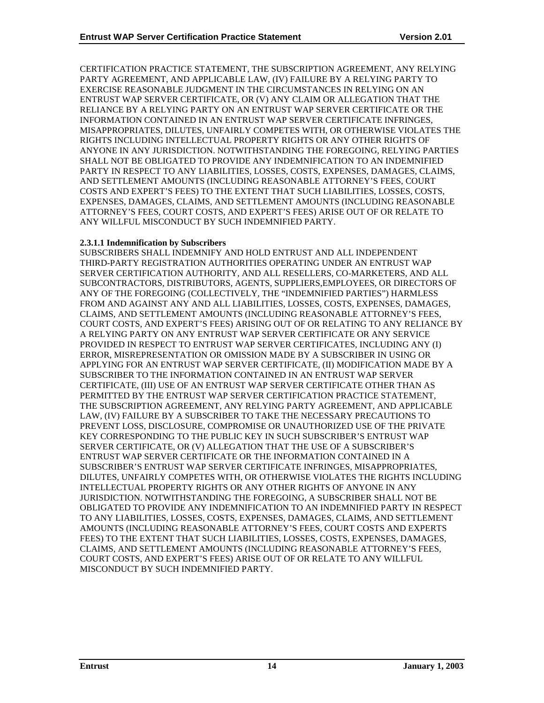CERTIFICATION PRACTICE STATEMENT, THE SUBSCRIPTION AGREEMENT, ANY RELYING PARTY AGREEMENT, AND APPLICABLE LAW, (IV) FAILURE BY A RELYING PARTY TO EXERCISE REASONABLE JUDGMENT IN THE CIRCUMSTANCES IN RELYING ON AN ENTRUST WAP SERVER CERTIFICATE, OR (V) ANY CLAIM OR ALLEGATION THAT THE RELIANCE BY A RELYING PARTY ON AN ENTRUST WAP SERVER CERTIFICATE OR THE INFORMATION CONTAINED IN AN ENTRUST WAP SERVER CERTIFICATE INFRINGES, MISAPPROPRIATES, DILUTES, UNFAIRLY COMPETES WITH, OR OTHERWISE VIOLATES THE RIGHTS INCLUDING INTELLECTUAL PROPERTY RIGHTS OR ANY OTHER RIGHTS OF ANYONE IN ANY JURISDICTION. NOTWITHSTANDING THE FOREGOING, RELYING PARTIES SHALL NOT BE OBLIGATED TO PROVIDE ANY INDEMNIFICATION TO AN INDEMNIFIED PARTY IN RESPECT TO ANY LIABILITIES, LOSSES, COSTS, EXPENSES, DAMAGES, CLAIMS, AND SETTLEMENT AMOUNTS (INCLUDING REASONABLE ATTORNEY'S FEES, COURT COSTS AND EXPERT'S FEES) TO THE EXTENT THAT SUCH LIABILITIES, LOSSES, COSTS, EXPENSES, DAMAGES, CLAIMS, AND SETTLEMENT AMOUNTS (INCLUDING REASONABLE ATTORNEY'S FEES, COURT COSTS, AND EXPERT'S FEES) ARISE OUT OF OR RELATE TO ANY WILLFUL MISCONDUCT BY SUCH INDEMNIFIED PARTY.

## **2.3.1.1 Indemnification by Subscribers**

SUBSCRIBERS SHALL INDEMNIFY AND HOLD ENTRUST AND ALL INDEPENDENT THIRD-PARTY REGISTRATION AUTHORITIES OPERATING UNDER AN ENTRUST WAP SERVER CERTIFICATION AUTHORITY, AND ALL RESELLERS, CO-MARKETERS, AND ALL SUBCONTRACTORS, DISTRIBUTORS, AGENTS, SUPPLIERS,EMPLOYEES, OR DIRECTORS OF ANY OF THE FOREGOING (COLLECTIVELY, THE "INDEMNIFIED PARTIES") HARMLESS FROM AND AGAINST ANY AND ALL LIABILITIES, LOSSES, COSTS, EXPENSES, DAMAGES, CLAIMS, AND SETTLEMENT AMOUNTS (INCLUDING REASONABLE ATTORNEY'S FEES, COURT COSTS, AND EXPERT'S FEES) ARISING OUT OF OR RELATING TO ANY RELIANCE BY A RELYING PARTY ON ANY ENTRUST WAP SERVER CERTIFICATE OR ANY SERVICE PROVIDED IN RESPECT TO ENTRUST WAP SERVER CERTIFICATES, INCLUDING ANY (I) ERROR, MISREPRESENTATION OR OMISSION MADE BY A SUBSCRIBER IN USING OR APPLYING FOR AN ENTRUST WAP SERVER CERTIFICATE, (II) MODIFICATION MADE BY A SUBSCRIBER TO THE INFORMATION CONTAINED IN AN ENTRUST WAP SERVER CERTIFICATE, (III) USE OF AN ENTRUST WAP SERVER CERTIFICATE OTHER THAN AS PERMITTED BY THE ENTRUST WAP SERVER CERTIFICATION PRACTICE STATEMENT, THE SUBSCRIPTION AGREEMENT, ANY RELYING PARTY AGREEMENT, AND APPLICABLE LAW, (IV) FAILURE BY A SUBSCRIBER TO TAKE THE NECESSARY PRECAUTIONS TO PREVENT LOSS, DISCLOSURE, COMPROMISE OR UNAUTHORIZED USE OF THE PRIVATE KEY CORRESPONDING TO THE PUBLIC KEY IN SUCH SUBSCRIBER'S ENTRUST WAP SERVER CERTIFICATE, OR (V) ALLEGATION THAT THE USE OF A SUBSCRIBER'S ENTRUST WAP SERVER CERTIFICATE OR THE INFORMATION CONTAINED IN A SUBSCRIBER'S ENTRUST WAP SERVER CERTIFICATE INFRINGES, MISAPPROPRIATES, DILUTES, UNFAIRLY COMPETES WITH, OR OTHERWISE VIOLATES THE RIGHTS INCLUDING INTELLECTUAL PROPERTY RIGHTS OR ANY OTHER RIGHTS OF ANYONE IN ANY JURISDICTION. NOTWITHSTANDING THE FOREGOING, A SUBSCRIBER SHALL NOT BE OBLIGATED TO PROVIDE ANY INDEMNIFICATION TO AN INDEMNIFIED PARTY IN RESPECT TO ANY LIABILITIES, LOSSES, COSTS, EXPENSES, DAMAGES, CLAIMS, AND SETTLEMENT AMOUNTS (INCLUDING REASONABLE ATTORNEY'S FEES, COURT COSTS AND EXPERTS FEES) TO THE EXTENT THAT SUCH LIABILITIES, LOSSES, COSTS, EXPENSES, DAMAGES, CLAIMS, AND SETTLEMENT AMOUNTS (INCLUDING REASONABLE ATTORNEY'S FEES, COURT COSTS, AND EXPERT'S FEES) ARISE OUT OF OR RELATE TO ANY WILLFUL MISCONDUCT BY SUCH INDEMNIFIED PARTY.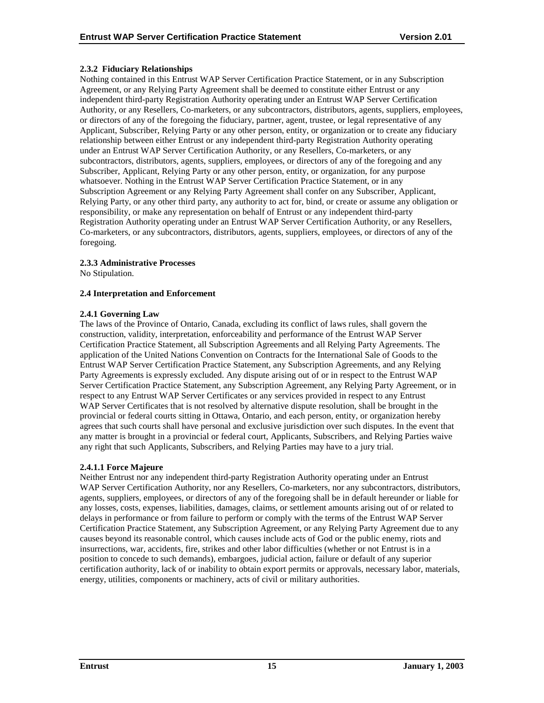## <span id="page-19-0"></span>**2.3.2 Fiduciary Relationships**

Nothing contained in this Entrust WAP Server Certification Practice Statement, or in any Subscription Agreement, or any Relying Party Agreement shall be deemed to constitute either Entrust or any independent third-party Registration Authority operating under an Entrust WAP Server Certification Authority, or any Resellers, Co-marketers, or any subcontractors, distributors, agents, suppliers, employees, or directors of any of the foregoing the fiduciary, partner, agent, trustee, or legal representative of any Applicant, Subscriber, Relying Party or any other person, entity, or organization or to create any fiduciary relationship between either Entrust or any independent third-party Registration Authority operating under an Entrust WAP Server Certification Authority, or any Resellers, Co-marketers, or any subcontractors, distributors, agents, suppliers, employees, or directors of any of the foregoing and any Subscriber, Applicant, Relying Party or any other person, entity, or organization, for any purpose whatsoever. Nothing in the Entrust WAP Server Certification Practice Statement, or in any Subscription Agreement or any Relying Party Agreement shall confer on any Subscriber, Applicant, Relying Party, or any other third party, any authority to act for, bind, or create or assume any obligation or responsibility, or make any representation on behalf of Entrust or any independent third-party Registration Authority operating under an Entrust WAP Server Certification Authority, or any Resellers, Co-marketers, or any subcontractors, distributors, agents, suppliers, employees, or directors of any of the foregoing.

## **2.3.3 Administrative Processes**

No Stipulation.

## **2.4 Interpretation and Enforcement**

## **2.4.1 Governing Law**

The laws of the Province of Ontario, Canada, excluding its conflict of laws rules, shall govern the construction, validity, interpretation, enforceability and performance of the Entrust WAP Server Certification Practice Statement, all Subscription Agreements and all Relying Party Agreements. The application of the United Nations Convention on Contracts for the International Sale of Goods to the Entrust WAP Server Certification Practice Statement, any Subscription Agreements, and any Relying Party Agreements is expressly excluded. Any dispute arising out of or in respect to the Entrust WAP Server Certification Practice Statement, any Subscription Agreement, any Relying Party Agreement, or in respect to any Entrust WAP Server Certificates or any services provided in respect to any Entrust WAP Server Certificates that is not resolved by alternative dispute resolution, shall be brought in the provincial or federal courts sitting in Ottawa, Ontario, and each person, entity, or organization hereby agrees that such courts shall have personal and exclusive jurisdiction over such disputes. In the event that any matter is brought in a provincial or federal court, Applicants, Subscribers, and Relying Parties waive any right that such Applicants, Subscribers, and Relying Parties may have to a jury trial.

## **2.4.1.1 Force Majeure**

Neither Entrust nor any independent third-party Registration Authority operating under an Entrust WAP Server Certification Authority, nor any Resellers, Co-marketers, nor any subcontractors, distributors, agents, suppliers, employees, or directors of any of the foregoing shall be in default hereunder or liable for any losses, costs, expenses, liabilities, damages, claims, or settlement amounts arising out of or related to delays in performance or from failure to perform or comply with the terms of the Entrust WAP Server Certification Practice Statement, any Subscription Agreement, or any Relying Party Agreement due to any causes beyond its reasonable control, which causes include acts of God or the public enemy, riots and insurrections, war, accidents, fire, strikes and other labor difficulties (whether or not Entrust is in a position to concede to such demands), embargoes, judicial action, failure or default of any superior certification authority, lack of or inability to obtain export permits or approvals, necessary labor, materials, energy, utilities, components or machinery, acts of civil or military authorities.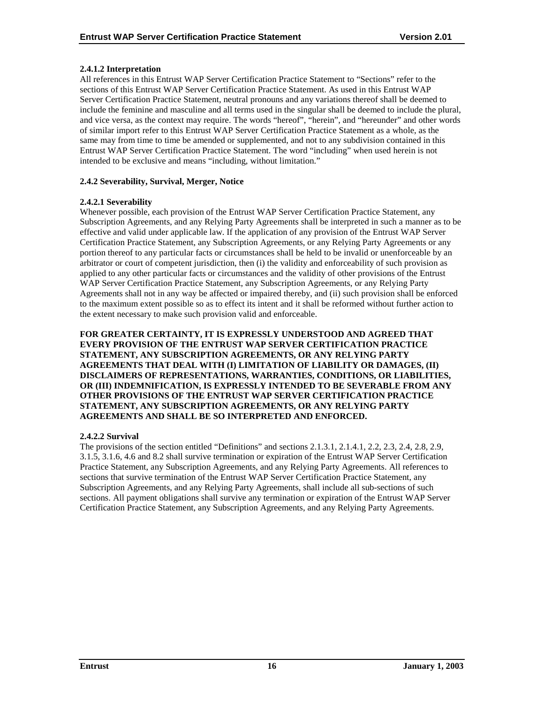## <span id="page-20-0"></span>**2.4.1.2 Interpretation**

All references in this Entrust WAP Server Certification Practice Statement to "Sections" refer to the sections of this Entrust WAP Server Certification Practice Statement. As used in this Entrust WAP Server Certification Practice Statement, neutral pronouns and any variations thereof shall be deemed to include the feminine and masculine and all terms used in the singular shall be deemed to include the plural, and vice versa, as the context may require. The words "hereof", "herein", and "hereunder" and other words of similar import refer to this Entrust WAP Server Certification Practice Statement as a whole, as the same may from time to time be amended or supplemented, and not to any subdivision contained in this Entrust WAP Server Certification Practice Statement. The word "including" when used herein is not intended to be exclusive and means "including, without limitation."

## **2.4.2 Severability, Survival, Merger, Notice**

## **2.4.2.1 Severability**

Whenever possible, each provision of the Entrust WAP Server Certification Practice Statement, any Subscription Agreements, and any Relying Party Agreements shall be interpreted in such a manner as to be effective and valid under applicable law. If the application of any provision of the Entrust WAP Server Certification Practice Statement, any Subscription Agreements, or any Relying Party Agreements or any portion thereof to any particular facts or circumstances shall be held to be invalid or unenforceable by an arbitrator or court of competent jurisdiction, then (i) the validity and enforceability of such provision as applied to any other particular facts or circumstances and the validity of other provisions of the Entrust WAP Server Certification Practice Statement, any Subscription Agreements, or any Relying Party Agreements shall not in any way be affected or impaired thereby, and (ii) such provision shall be enforced to the maximum extent possible so as to effect its intent and it shall be reformed without further action to the extent necessary to make such provision valid and enforceable.

**FOR GREATER CERTAINTY, IT IS EXPRESSLY UNDERSTOOD AND AGREED THAT EVERY PROVISION OF THE ENTRUST WAP SERVER CERTIFICATION PRACTICE STATEMENT, ANY SUBSCRIPTION AGREEMENTS, OR ANY RELYING PARTY AGREEMENTS THAT DEAL WITH (I) LIMITATION OF LIABILITY OR DAMAGES, (II) DISCLAIMERS OF REPRESENTATIONS, WARRANTIES, CONDITIONS, OR LIABILITIES, OR (III) INDEMNIFICATION, IS EXPRESSLY INTENDED TO BE SEVERABLE FROM ANY OTHER PROVISIONS OF THE ENTRUST WAP SERVER CERTIFICATION PRACTICE STATEMENT, ANY SUBSCRIPTION AGREEMENTS, OR ANY RELYING PARTY AGREEMENTS AND SHALL BE SO INTERPRETED AND ENFORCED.** 

## **2.4.2.2 Survival**

The provisions of the section entitled "Definitions" and sections 2.1.3.1, 2.1.4.1, 2.2, 2.3, 2.4, 2.8, 2.9, 3.1.5, 3.1.6, 4.6 and 8.2 shall survive termination or expiration of the Entrust WAP Server Certification Practice Statement, any Subscription Agreements, and any Relying Party Agreements. All references to sections that survive termination of the Entrust WAP Server Certification Practice Statement, any Subscription Agreements, and any Relying Party Agreements, shall include all sub-sections of such sections. All payment obligations shall survive any termination or expiration of the Entrust WAP Server Certification Practice Statement, any Subscription Agreements, and any Relying Party Agreements.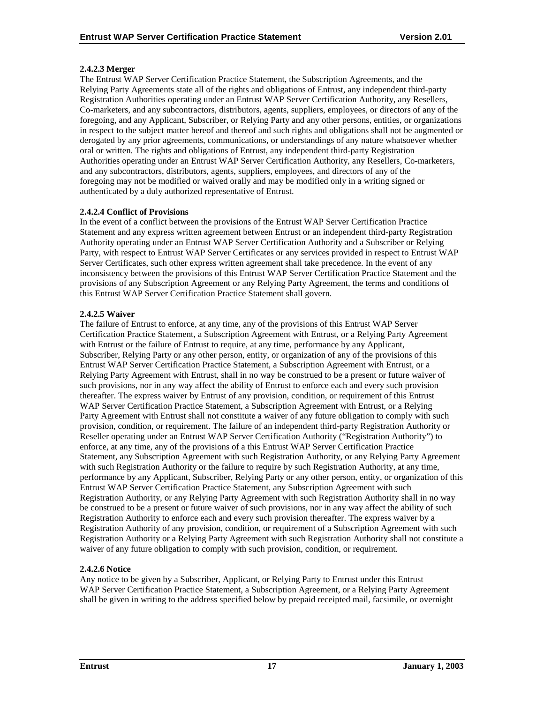## **2.4.2.3 Merger**

The Entrust WAP Server Certification Practice Statement, the Subscription Agreements, and the Relying Party Agreements state all of the rights and obligations of Entrust, any independent third-party Registration Authorities operating under an Entrust WAP Server Certification Authority, any Resellers, Co-marketers, and any subcontractors, distributors, agents, suppliers, employees, or directors of any of the foregoing, and any Applicant, Subscriber, or Relying Party and any other persons, entities, or organizations in respect to the subject matter hereof and thereof and such rights and obligations shall not be augmented or derogated by any prior agreements, communications, or understandings of any nature whatsoever whether oral or written. The rights and obligations of Entrust, any independent third-party Registration Authorities operating under an Entrust WAP Server Certification Authority, any Resellers, Co-marketers, and any subcontractors, distributors, agents, suppliers, employees, and directors of any of the foregoing may not be modified or waived orally and may be modified only in a writing signed or authenticated by a duly authorized representative of Entrust.

## **2.4.2.4 Conflict of Provisions**

In the event of a conflict between the provisions of the Entrust WAP Server Certification Practice Statement and any express written agreement between Entrust or an independent third-party Registration Authority operating under an Entrust WAP Server Certification Authority and a Subscriber or Relying Party, with respect to Entrust WAP Server Certificates or any services provided in respect to Entrust WAP Server Certificates, such other express written agreement shall take precedence. In the event of any inconsistency between the provisions of this Entrust WAP Server Certification Practice Statement and the provisions of any Subscription Agreement or any Relying Party Agreement, the terms and conditions of this Entrust WAP Server Certification Practice Statement shall govern.

## **2.4.2.5 Waiver**

The failure of Entrust to enforce, at any time, any of the provisions of this Entrust WAP Server Certification Practice Statement, a Subscription Agreement with Entrust, or a Relying Party Agreement with Entrust or the failure of Entrust to require, at any time, performance by any Applicant, Subscriber, Relying Party or any other person, entity, or organization of any of the provisions of this Entrust WAP Server Certification Practice Statement, a Subscription Agreement with Entrust, or a Relying Party Agreement with Entrust, shall in no way be construed to be a present or future waiver of such provisions, nor in any way affect the ability of Entrust to enforce each and every such provision thereafter. The express waiver by Entrust of any provision, condition, or requirement of this Entrust WAP Server Certification Practice Statement, a Subscription Agreement with Entrust, or a Relying Party Agreement with Entrust shall not constitute a waiver of any future obligation to comply with such provision, condition, or requirement. The failure of an independent third-party Registration Authority or Reseller operating under an Entrust WAP Server Certification Authority ("Registration Authority") to enforce, at any time, any of the provisions of a this Entrust WAP Server Certification Practice Statement, any Subscription Agreement with such Registration Authority, or any Relying Party Agreement with such Registration Authority or the failure to require by such Registration Authority, at any time, performance by any Applicant, Subscriber, Relying Party or any other person, entity, or organization of this Entrust WAP Server Certification Practice Statement, any Subscription Agreement with such Registration Authority, or any Relying Party Agreement with such Registration Authority shall in no way be construed to be a present or future waiver of such provisions, nor in any way affect the ability of such Registration Authority to enforce each and every such provision thereafter. The express waiver by a Registration Authority of any provision, condition, or requirement of a Subscription Agreement with such Registration Authority or a Relying Party Agreement with such Registration Authority shall not constitute a waiver of any future obligation to comply with such provision, condition, or requirement.

## **2.4.2.6 Notice**

Any notice to be given by a Subscriber, Applicant, or Relying Party to Entrust under this Entrust WAP Server Certification Practice Statement, a Subscription Agreement, or a Relying Party Agreement shall be given in writing to the address specified below by prepaid receipted mail, facsimile, or overnight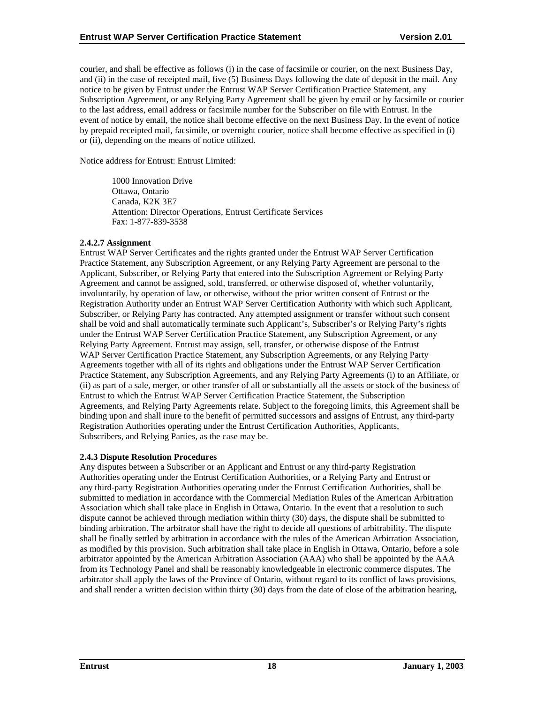<span id="page-22-0"></span>courier, and shall be effective as follows (i) in the case of facsimile or courier, on the next Business Day, and (ii) in the case of receipted mail, five (5) Business Days following the date of deposit in the mail. Any notice to be given by Entrust under the Entrust WAP Server Certification Practice Statement, any Subscription Agreement, or any Relying Party Agreement shall be given by email or by facsimile or courier to the last address, email address or facsimile number for the Subscriber on file with Entrust. In the event of notice by email, the notice shall become effective on the next Business Day. In the event of notice by prepaid receipted mail, facsimile, or overnight courier, notice shall become effective as specified in (i) or (ii), depending on the means of notice utilized.

Notice address for Entrust: Entrust Limited:

1000 Innovation Drive Ottawa, Ontario Canada, K2K 3E7 Attention: Director Operations, Entrust Certificate Services Fax: 1-877-839-3538

## **2.4.2.7 Assignment**

Entrust WAP Server Certificates and the rights granted under the Entrust WAP Server Certification Practice Statement, any Subscription Agreement, or any Relying Party Agreement are personal to the Applicant, Subscriber, or Relying Party that entered into the Subscription Agreement or Relying Party Agreement and cannot be assigned, sold, transferred, or otherwise disposed of, whether voluntarily, involuntarily, by operation of law, or otherwise, without the prior written consent of Entrust or the Registration Authority under an Entrust WAP Server Certification Authority with which such Applicant, Subscriber, or Relying Party has contracted. Any attempted assignment or transfer without such consent shall be void and shall automatically terminate such Applicant's, Subscriber's or Relying Party's rights under the Entrust WAP Server Certification Practice Statement, any Subscription Agreement, or any Relying Party Agreement. Entrust may assign, sell, transfer, or otherwise dispose of the Entrust WAP Server Certification Practice Statement, any Subscription Agreements, or any Relying Party Agreements together with all of its rights and obligations under the Entrust WAP Server Certification Practice Statement, any Subscription Agreements, and any Relying Party Agreements (i) to an Affiliate, or (ii) as part of a sale, merger, or other transfer of all or substantially all the assets or stock of the business of Entrust to which the Entrust WAP Server Certification Practice Statement, the Subscription Agreements, and Relying Party Agreements relate. Subject to the foregoing limits, this Agreement shall be binding upon and shall inure to the benefit of permitted successors and assigns of Entrust, any third-party Registration Authorities operating under the Entrust Certification Authorities, Applicants, Subscribers, and Relying Parties, as the case may be.

#### **2.4.3 Dispute Resolution Procedures**

Any disputes between a Subscriber or an Applicant and Entrust or any third-party Registration Authorities operating under the Entrust Certification Authorities, or a Relying Party and Entrust or any third-party Registration Authorities operating under the Entrust Certification Authorities, shall be submitted to mediation in accordance with the Commercial Mediation Rules of the American Arbitration Association which shall take place in English in Ottawa, Ontario. In the event that a resolution to such dispute cannot be achieved through mediation within thirty (30) days, the dispute shall be submitted to binding arbitration. The arbitrator shall have the right to decide all questions of arbitrability. The dispute shall be finally settled by arbitration in accordance with the rules of the American Arbitration Association, as modified by this provision. Such arbitration shall take place in English in Ottawa, Ontario, before a sole arbitrator appointed by the American Arbitration Association (AAA) who shall be appointed by the AAA from its Technology Panel and shall be reasonably knowledgeable in electronic commerce disputes. The arbitrator shall apply the laws of the Province of Ontario, without regard to its conflict of laws provisions, and shall render a written decision within thirty (30) days from the date of close of the arbitration hearing,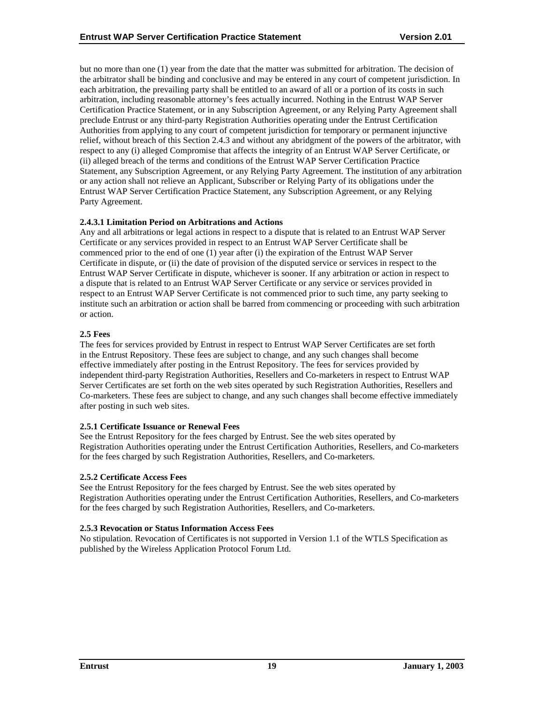<span id="page-23-0"></span>but no more than one (1) year from the date that the matter was submitted for arbitration. The decision of the arbitrator shall be binding and conclusive and may be entered in any court of competent jurisdiction. In each arbitration, the prevailing party shall be entitled to an award of all or a portion of its costs in such arbitration, including reasonable attorney's fees actually incurred. Nothing in the Entrust WAP Server Certification Practice Statement, or in any Subscription Agreement, or any Relying Party Agreement shall preclude Entrust or any third-party Registration Authorities operating under the Entrust Certification Authorities from applying to any court of competent jurisdiction for temporary or permanent injunctive relief, without breach of this Section 2.4.3 and without any abridgment of the powers of the arbitrator, with respect to any (i) alleged Compromise that affects the integrity of an Entrust WAP Server Certificate, or (ii) alleged breach of the terms and conditions of the Entrust WAP Server Certification Practice Statement, any Subscription Agreement, or any Relying Party Agreement. The institution of any arbitration or any action shall not relieve an Applicant, Subscriber or Relying Party of its obligations under the Entrust WAP Server Certification Practice Statement, any Subscription Agreement, or any Relying Party Agreement.

## **2.4.3.1 Limitation Period on Arbitrations and Actions**

Any and all arbitrations or legal actions in respect to a dispute that is related to an Entrust WAP Server Certificate or any services provided in respect to an Entrust WAP Server Certificate shall be commenced prior to the end of one (1) year after (i) the expiration of the Entrust WAP Server Certificate in dispute, or (ii) the date of provision of the disputed service or services in respect to the Entrust WAP Server Certificate in dispute, whichever is sooner. If any arbitration or action in respect to a dispute that is related to an Entrust WAP Server Certificate or any service or services provided in respect to an Entrust WAP Server Certificate is not commenced prior to such time, any party seeking to institute such an arbitration or action shall be barred from commencing or proceeding with such arbitration or action.

## **2.5 Fees**

The fees for services provided by Entrust in respect to Entrust WAP Server Certificates are set forth in the Entrust Repository. These fees are subject to change, and any such changes shall become effective immediately after posting in the Entrust Repository. The fees for services provided by independent third-party Registration Authorities, Resellers and Co-marketers in respect to Entrust WAP Server Certificates are set forth on the web sites operated by such Registration Authorities, Resellers and Co-marketers. These fees are subject to change, and any such changes shall become effective immediately after posting in such web sites.

#### **2.5.1 Certificate Issuance or Renewal Fees**

See the Entrust Repository for the fees charged by Entrust. See the web sites operated by Registration Authorities operating under the Entrust Certification Authorities, Resellers, and Co-marketers for the fees charged by such Registration Authorities, Resellers, and Co-marketers.

## **2.5.2 Certificate Access Fees**

See the Entrust Repository for the fees charged by Entrust. See the web sites operated by Registration Authorities operating under the Entrust Certification Authorities, Resellers, and Co-marketers for the fees charged by such Registration Authorities, Resellers, and Co-marketers.

## **2.5.3 Revocation or Status Information Access Fees**

No stipulation. Revocation of Certificates is not supported in Version 1.1 of the WTLS Specification as published by the Wireless Application Protocol Forum Ltd.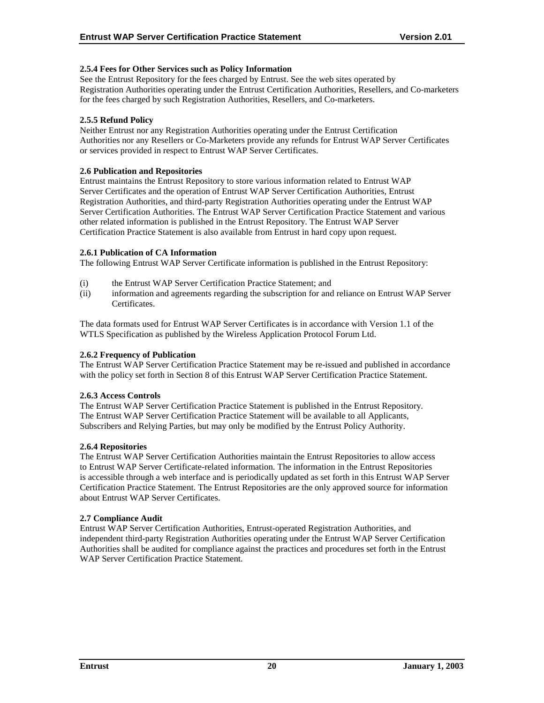## <span id="page-24-0"></span>**2.5.4 Fees for Other Services such as Policy Information**

See the Entrust Repository for the fees charged by Entrust. See the web sites operated by Registration Authorities operating under the Entrust Certification Authorities, Resellers, and Co-marketers for the fees charged by such Registration Authorities, Resellers, and Co-marketers.

## **2.5.5 Refund Policy**

Neither Entrust nor any Registration Authorities operating under the Entrust Certification Authorities nor any Resellers or Co-Marketers provide any refunds for Entrust WAP Server Certificates or services provided in respect to Entrust WAP Server Certificates.

#### **2.6 Publication and Repositories**

Entrust maintains the Entrust Repository to store various information related to Entrust WAP Server Certificates and the operation of Entrust WAP Server Certification Authorities, Entrust Registration Authorities, and third-party Registration Authorities operating under the Entrust WAP Server Certification Authorities. The Entrust WAP Server Certification Practice Statement and various other related information is published in the Entrust Repository. The Entrust WAP Server Certification Practice Statement is also available from Entrust in hard copy upon request.

## **2.6.1 Publication of CA Information**

The following Entrust WAP Server Certificate information is published in the Entrust Repository:

- (i) the Entrust WAP Server Certification Practice Statement; and
- (ii) information and agreements regarding the subscription for and reliance on Entrust WAP Server Certificates.

The data formats used for Entrust WAP Server Certificates is in accordance with Version 1.1 of the WTLS Specification as published by the Wireless Application Protocol Forum Ltd.

#### **2.6.2 Frequency of Publication**

The Entrust WAP Server Certification Practice Statement may be re-issued and published in accordance with the policy set forth in Section 8 of this Entrust WAP Server Certification Practice Statement.

#### **2.6.3 Access Controls**

The Entrust WAP Server Certification Practice Statement is published in the Entrust Repository. The Entrust WAP Server Certification Practice Statement will be available to all Applicants, Subscribers and Relying Parties, but may only be modified by the Entrust Policy Authority.

#### **2.6.4 Repositories**

The Entrust WAP Server Certification Authorities maintain the Entrust Repositories to allow access to Entrust WAP Server Certificate-related information. The information in the Entrust Repositories is accessible through a web interface and is periodically updated as set forth in this Entrust WAP Server Certification Practice Statement. The Entrust Repositories are the only approved source for information about Entrust WAP Server Certificates.

#### **2.7 Compliance Audit**

Entrust WAP Server Certification Authorities, Entrust-operated Registration Authorities, and independent third-party Registration Authorities operating under the Entrust WAP Server Certification Authorities shall be audited for compliance against the practices and procedures set forth in the Entrust WAP Server Certification Practice Statement.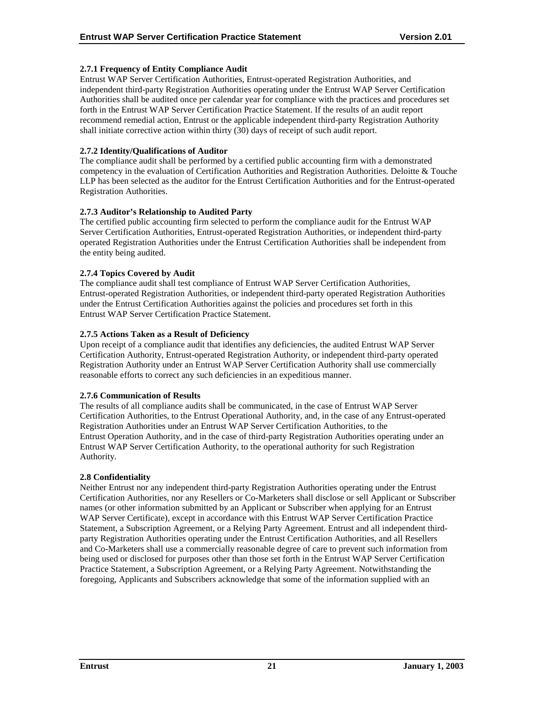## <span id="page-25-0"></span>**2.7.1 Frequency of Entity Compliance Audit**

Entrust WAP Server Certification Authorities, Entrust-operated Registration Authorities, and independent third-party Registration Authorities operating under the Entrust WAP Server Certification Authorities shall be audited once per calendar year for compliance with the practices and procedures set forth in the Entrust WAP Server Certification Practice Statement. If the results of an audit report recommend remedial action, Entrust or the applicable independent third-party Registration Authority shall initiate corrective action within thirty (30) days of receipt of such audit report.

## **2.7.2 Identity/Qualifications of Auditor**

The compliance audit shall be performed by a certified public accounting firm with a demonstrated competency in the evaluation of Certification Authorities and Registration Authorities. Deloitte & Touche LLP has been selected as the auditor for the Entrust Certification Authorities and for the Entrust-operated Registration Authorities.

## **2.7.3 Auditor's Relationship to Audited Party**

The certified public accounting firm selected to perform the compliance audit for the Entrust WAP Server Certification Authorities, Entrust-operated Registration Authorities, or independent third-party operated Registration Authorities under the Entrust Certification Authorities shall be independent from the entity being audited.

## **2.7.4 Topics Covered by Audit**

The compliance audit shall test compliance of Entrust WAP Server Certification Authorities, Entrust-operated Registration Authorities, or independent third-party operated Registration Authorities under the Entrust Certification Authorities against the policies and procedures set forth in this Entrust WAP Server Certification Practice Statement.

## **2.7.5 Actions Taken as a Result of Deficiency**

Upon receipt of a compliance audit that identifies any deficiencies, the audited Entrust WAP Server Certification Authority, Entrust-operated Registration Authority, or independent third-party operated Registration Authority under an Entrust WAP Server Certification Authority shall use commercially reasonable efforts to correct any such deficiencies in an expeditious manner.

#### **2.7.6 Communication of Results**

The results of all compliance audits shall be communicated, in the case of Entrust WAP Server Certification Authorities, to the Entrust Operational Authority, and, in the case of any Entrust-operated Registration Authorities under an Entrust WAP Server Certification Authorities, to the Entrust Operation Authority, and in the case of third-party Registration Authorities operating under an Entrust WAP Server Certification Authority, to the operational authority for such Registration Authority.

#### **2.8 Confidentiality**

Neither Entrust nor any independent third-party Registration Authorities operating under the Entrust Certification Authorities, nor any Resellers or Co-Marketers shall disclose or sell Applicant or Subscriber names (or other information submitted by an Applicant or Subscriber when applying for an Entrust WAP Server Certificate), except in accordance with this Entrust WAP Server Certification Practice Statement, a Subscription Agreement, or a Relying Party Agreement. Entrust and all independent thirdparty Registration Authorities operating under the Entrust Certification Authorities, and all Resellers and Co-Marketers shall use a commercially reasonable degree of care to prevent such information from being used or disclosed for purposes other than those set forth in the Entrust WAP Server Certification Practice Statement, a Subscription Agreement, or a Relying Party Agreement. Notwithstanding the foregoing, Applicants and Subscribers acknowledge that some of the information supplied with an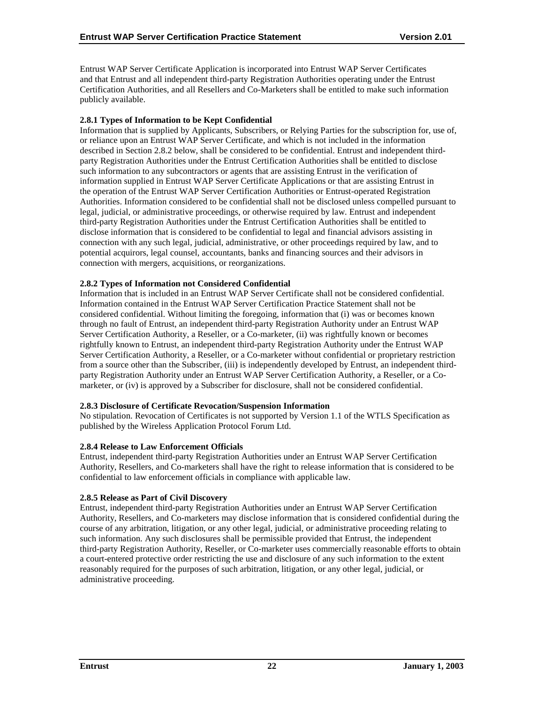<span id="page-26-0"></span>Entrust WAP Server Certificate Application is incorporated into Entrust WAP Server Certificates and that Entrust and all independent third-party Registration Authorities operating under the Entrust Certification Authorities, and all Resellers and Co-Marketers shall be entitled to make such information publicly available.

## **2.8.1 Types of Information to be Kept Confidential**

Information that is supplied by Applicants, Subscribers, or Relying Parties for the subscription for, use of, or reliance upon an Entrust WAP Server Certificate, and which is not included in the information described in Section 2.8.2 below, shall be considered to be confidential. Entrust and independent thirdparty Registration Authorities under the Entrust Certification Authorities shall be entitled to disclose such information to any subcontractors or agents that are assisting Entrust in the verification of information supplied in Entrust WAP Server Certificate Applications or that are assisting Entrust in the operation of the Entrust WAP Server Certification Authorities or Entrust-operated Registration Authorities. Information considered to be confidential shall not be disclosed unless compelled pursuant to legal, judicial, or administrative proceedings, or otherwise required by law. Entrust and independent third-party Registration Authorities under the Entrust Certification Authorities shall be entitled to disclose information that is considered to be confidential to legal and financial advisors assisting in connection with any such legal, judicial, administrative, or other proceedings required by law, and to potential acquirors, legal counsel, accountants, banks and financing sources and their advisors in connection with mergers, acquisitions, or reorganizations.

## **2.8.2 Types of Information not Considered Confidential**

Information that is included in an Entrust WAP Server Certificate shall not be considered confidential. Information contained in the Entrust WAP Server Certification Practice Statement shall not be considered confidential. Without limiting the foregoing, information that (i) was or becomes known through no fault of Entrust, an independent third-party Registration Authority under an Entrust WAP Server Certification Authority, a Reseller, or a Co-marketer, (ii) was rightfully known or becomes rightfully known to Entrust, an independent third-party Registration Authority under the Entrust WAP Server Certification Authority, a Reseller, or a Co-marketer without confidential or proprietary restriction from a source other than the Subscriber, (iii) is independently developed by Entrust, an independent thirdparty Registration Authority under an Entrust WAP Server Certification Authority, a Reseller, or a Comarketer, or (iv) is approved by a Subscriber for disclosure, shall not be considered confidential.

#### **2.8.3 Disclosure of Certificate Revocation/Suspension Information**

No stipulation. Revocation of Certificates is not supported by Version 1.1 of the WTLS Specification as published by the Wireless Application Protocol Forum Ltd.

#### **2.8.4 Release to Law Enforcement Officials**

Entrust, independent third-party Registration Authorities under an Entrust WAP Server Certification Authority, Resellers, and Co-marketers shall have the right to release information that is considered to be confidential to law enforcement officials in compliance with applicable law.

#### **2.8.5 Release as Part of Civil Discovery**

Entrust, independent third-party Registration Authorities under an Entrust WAP Server Certification Authority, Resellers, and Co-marketers may disclose information that is considered confidential during the course of any arbitration, litigation, or any other legal, judicial, or administrative proceeding relating to such information. Any such disclosures shall be permissible provided that Entrust, the independent third-party Registration Authority, Reseller, or Co-marketer uses commercially reasonable efforts to obtain a court-entered protective order restricting the use and disclosure of any such information to the extent reasonably required for the purposes of such arbitration, litigation, or any other legal, judicial, or administrative proceeding.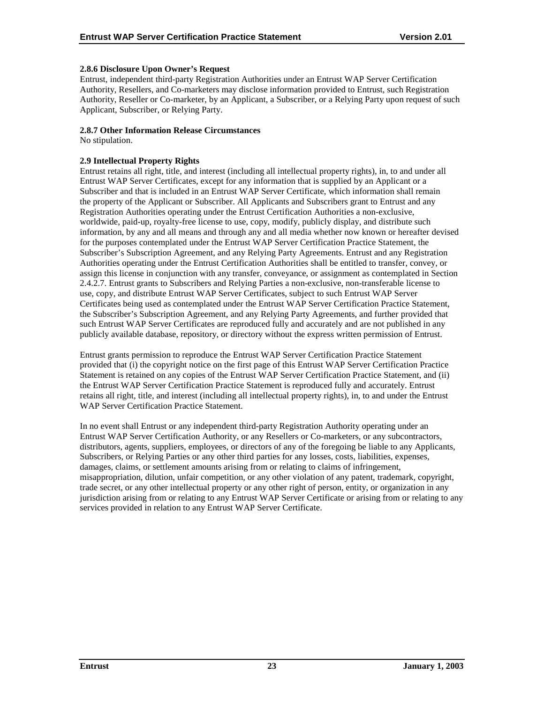## <span id="page-27-0"></span>**2.8.6 Disclosure Upon Owner's Request**

Entrust, independent third-party Registration Authorities under an Entrust WAP Server Certification Authority, Resellers, and Co-marketers may disclose information provided to Entrust, such Registration Authority, Reseller or Co-marketer, by an Applicant, a Subscriber, or a Relying Party upon request of such Applicant, Subscriber, or Relying Party.

## **2.8.7 Other Information Release Circumstances**

No stipulation.

## **2.9 Intellectual Property Rights**

Entrust retains all right, title, and interest (including all intellectual property rights), in, to and under all Entrust WAP Server Certificates, except for any information that is supplied by an Applicant or a Subscriber and that is included in an Entrust WAP Server Certificate, which information shall remain the property of the Applicant or Subscriber. All Applicants and Subscribers grant to Entrust and any Registration Authorities operating under the Entrust Certification Authorities a non-exclusive, worldwide, paid-up, royalty-free license to use, copy, modify, publicly display, and distribute such information, by any and all means and through any and all media whether now known or hereafter devised for the purposes contemplated under the Entrust WAP Server Certification Practice Statement, the Subscriber's Subscription Agreement, and any Relying Party Agreements. Entrust and any Registration Authorities operating under the Entrust Certification Authorities shall be entitled to transfer, convey, or assign this license in conjunction with any transfer, conveyance, or assignment as contemplated in Section 2.4.2.7. Entrust grants to Subscribers and Relying Parties a non-exclusive, non-transferable license to use, copy, and distribute Entrust WAP Server Certificates, subject to such Entrust WAP Server Certificates being used as contemplated under the Entrust WAP Server Certification Practice Statement, the Subscriber's Subscription Agreement, and any Relying Party Agreements, and further provided that such Entrust WAP Server Certificates are reproduced fully and accurately and are not published in any publicly available database, repository, or directory without the express written permission of Entrust.

Entrust grants permission to reproduce the Entrust WAP Server Certification Practice Statement provided that (i) the copyright notice on the first page of this Entrust WAP Server Certification Practice Statement is retained on any copies of the Entrust WAP Server Certification Practice Statement, and (ii) the Entrust WAP Server Certification Practice Statement is reproduced fully and accurately. Entrust retains all right, title, and interest (including all intellectual property rights), in, to and under the Entrust WAP Server Certification Practice Statement.

In no event shall Entrust or any independent third-party Registration Authority operating under an Entrust WAP Server Certification Authority, or any Resellers or Co-marketers, or any subcontractors, distributors, agents, suppliers, employees, or directors of any of the foregoing be liable to any Applicants, Subscribers, or Relying Parties or any other third parties for any losses, costs, liabilities, expenses, damages, claims, or settlement amounts arising from or relating to claims of infringement, misappropriation, dilution, unfair competition, or any other violation of any patent, trademark, copyright, trade secret, or any other intellectual property or any other right of person, entity, or organization in any jurisdiction arising from or relating to any Entrust WAP Server Certificate or arising from or relating to any services provided in relation to any Entrust WAP Server Certificate.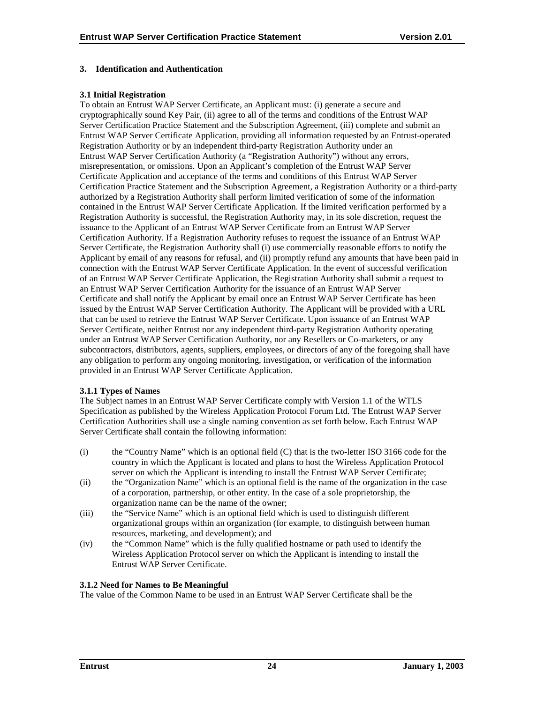## <span id="page-28-0"></span>**3. Identification and Authentication**

## **3.1 Initial Registration**

To obtain an Entrust WAP Server Certificate, an Applicant must: (i) generate a secure and cryptographically sound Key Pair, (ii) agree to all of the terms and conditions of the Entrust WAP Server Certification Practice Statement and the Subscription Agreement, (iii) complete and submit an Entrust WAP Server Certificate Application, providing all information requested by an Entrust-operated Registration Authority or by an independent third-party Registration Authority under an Entrust WAP Server Certification Authority (a "Registration Authority") without any errors, misrepresentation, or omissions. Upon an Applicant's completion of the Entrust WAP Server Certificate Application and acceptance of the terms and conditions of this Entrust WAP Server Certification Practice Statement and the Subscription Agreement, a Registration Authority or a third-party authorized by a Registration Authority shall perform limited verification of some of the information contained in the Entrust WAP Server Certificate Application. If the limited verification performed by a Registration Authority is successful, the Registration Authority may, in its sole discretion, request the issuance to the Applicant of an Entrust WAP Server Certificate from an Entrust WAP Server Certification Authority. If a Registration Authority refuses to request the issuance of an Entrust WAP Server Certificate, the Registration Authority shall (i) use commercially reasonable efforts to notify the Applicant by email of any reasons for refusal, and (ii) promptly refund any amounts that have been paid in connection with the Entrust WAP Server Certificate Application. In the event of successful verification of an Entrust WAP Server Certificate Application, the Registration Authority shall submit a request to an Entrust WAP Server Certification Authority for the issuance of an Entrust WAP Server Certificate and shall notify the Applicant by email once an Entrust WAP Server Certificate has been issued by the Entrust WAP Server Certification Authority. The Applicant will be provided with a URL that can be used to retrieve the Entrust WAP Server Certificate. Upon issuance of an Entrust WAP Server Certificate, neither Entrust nor any independent third-party Registration Authority operating under an Entrust WAP Server Certification Authority, nor any Resellers or Co-marketers, or any subcontractors, distributors, agents, suppliers, employees, or directors of any of the foregoing shall have any obligation to perform any ongoing monitoring, investigation, or verification of the information provided in an Entrust WAP Server Certificate Application.

#### **3.1.1 Types of Names**

The Subject names in an Entrust WAP Server Certificate comply with Version 1.1 of the WTLS Specification as published by the Wireless Application Protocol Forum Ltd. The Entrust WAP Server Certification Authorities shall use a single naming convention as set forth below. Each Entrust WAP Server Certificate shall contain the following information:

- (i) the "Country Name" which is an optional field (C) that is the two-letter ISO 3166 code for the country in which the Applicant is located and plans to host the Wireless Application Protocol server on which the Applicant is intending to install the Entrust WAP Server Certificate;
- (ii) the "Organization Name" which is an optional field is the name of the organization in the case of a corporation, partnership, or other entity. In the case of a sole proprietorship, the organization name can be the name of the owner;
- (iii) the "Service Name" which is an optional field which is used to distinguish different organizational groups within an organization (for example, to distinguish between human resources, marketing, and development); and
- (iv) the "Common Name" which is the fully qualified hostname or path used to identify the Wireless Application Protocol server on which the Applicant is intending to install the Entrust WAP Server Certificate.

## **3.1.2 Need for Names to Be Meaningful**

The value of the Common Name to be used in an Entrust WAP Server Certificate shall be the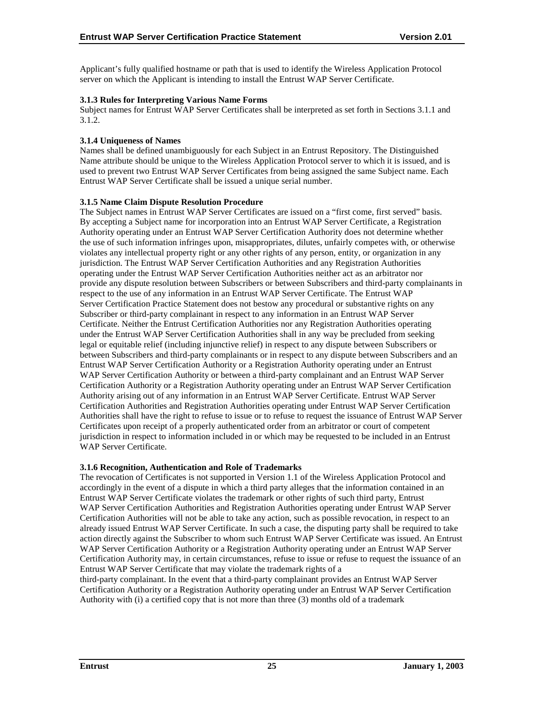<span id="page-29-0"></span>Applicant's fully qualified hostname or path that is used to identify the Wireless Application Protocol server on which the Applicant is intending to install the Entrust WAP Server Certificate.

## **3.1.3 Rules for Interpreting Various Name Forms**

Subject names for Entrust WAP Server Certificates shall be interpreted as set forth in Sections 3.1.1 and 3.1.2.

## **3.1.4 Uniqueness of Names**

Names shall be defined unambiguously for each Subject in an Entrust Repository. The Distinguished Name attribute should be unique to the Wireless Application Protocol server to which it is issued, and is used to prevent two Entrust WAP Server Certificates from being assigned the same Subject name. Each Entrust WAP Server Certificate shall be issued a unique serial number.

#### **3.1.5 Name Claim Dispute Resolution Procedure**

The Subject names in Entrust WAP Server Certificates are issued on a "first come, first served" basis. By accepting a Subject name for incorporation into an Entrust WAP Server Certificate, a Registration Authority operating under an Entrust WAP Server Certification Authority does not determine whether the use of such information infringes upon, misappropriates, dilutes, unfairly competes with, or otherwise violates any intellectual property right or any other rights of any person, entity, or organization in any jurisdiction. The Entrust WAP Server Certification Authorities and any Registration Authorities operating under the Entrust WAP Server Certification Authorities neither act as an arbitrator nor provide any dispute resolution between Subscribers or between Subscribers and third-party complainants in respect to the use of any information in an Entrust WAP Server Certificate. The Entrust WAP Server Certification Practice Statement does not bestow any procedural or substantive rights on any Subscriber or third-party complainant in respect to any information in an Entrust WAP Server Certificate. Neither the Entrust Certification Authorities nor any Registration Authorities operating under the Entrust WAP Server Certification Authorities shall in any way be precluded from seeking legal or equitable relief (including injunctive relief) in respect to any dispute between Subscribers or between Subscribers and third-party complainants or in respect to any dispute between Subscribers and an Entrust WAP Server Certification Authority or a Registration Authority operating under an Entrust WAP Server Certification Authority or between a third-party complainant and an Entrust WAP Server Certification Authority or a Registration Authority operating under an Entrust WAP Server Certification Authority arising out of any information in an Entrust WAP Server Certificate. Entrust WAP Server Certification Authorities and Registration Authorities operating under Entrust WAP Server Certification Authorities shall have the right to refuse to issue or to refuse to request the issuance of Entrust WAP Server Certificates upon receipt of a properly authenticated order from an arbitrator or court of competent jurisdiction in respect to information included in or which may be requested to be included in an Entrust WAP Server Certificate.

#### **3.1.6 Recognition, Authentication and Role of Trademarks**

The revocation of Certificates is not supported in Version 1.1 of the Wireless Application Protocol and accordingly in the event of a dispute in which a third party alleges that the information contained in an Entrust WAP Server Certificate violates the trademark or other rights of such third party, Entrust WAP Server Certification Authorities and Registration Authorities operating under Entrust WAP Server Certification Authorities will not be able to take any action, such as possible revocation, in respect to an already issued Entrust WAP Server Certificate. In such a case, the disputing party shall be required to take action directly against the Subscriber to whom such Entrust WAP Server Certificate was issued. An Entrust WAP Server Certification Authority or a Registration Authority operating under an Entrust WAP Server Certification Authority may, in certain circumstances, refuse to issue or refuse to request the issuance of an Entrust WAP Server Certificate that may violate the trademark rights of a

third-party complainant. In the event that a third-party complainant provides an Entrust WAP Server Certification Authority or a Registration Authority operating under an Entrust WAP Server Certification Authority with (i) a certified copy that is not more than three (3) months old of a trademark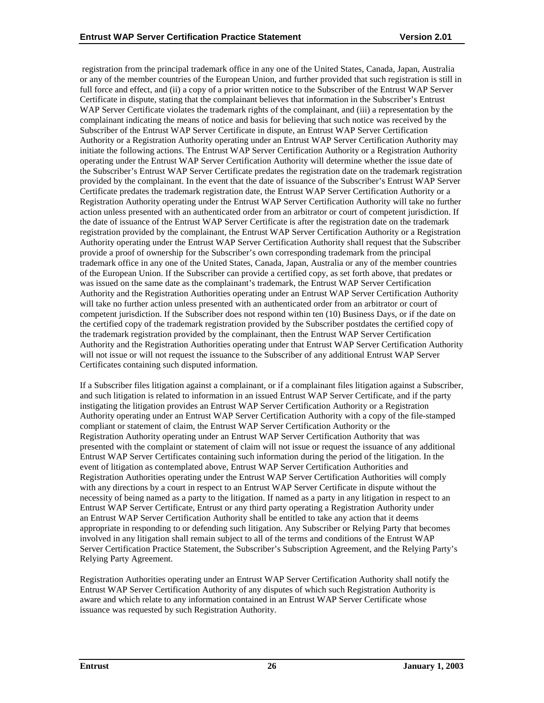registration from the principal trademark office in any one of the United States, Canada, Japan, Australia or any of the member countries of the European Union, and further provided that such registration is still in full force and effect, and (ii) a copy of a prior written notice to the Subscriber of the Entrust WAP Server Certificate in dispute, stating that the complainant believes that information in the Subscriber's Entrust WAP Server Certificate violates the trademark rights of the complainant, and (iii) a representation by the complainant indicating the means of notice and basis for believing that such notice was received by the Subscriber of the Entrust WAP Server Certificate in dispute, an Entrust WAP Server Certification Authority or a Registration Authority operating under an Entrust WAP Server Certification Authority may initiate the following actions. The Entrust WAP Server Certification Authority or a Registration Authority operating under the Entrust WAP Server Certification Authority will determine whether the issue date of the Subscriber's Entrust WAP Server Certificate predates the registration date on the trademark registration provided by the complainant. In the event that the date of issuance of the Subscriber's Entrust WAP Server Certificate predates the trademark registration date, the Entrust WAP Server Certification Authority or a Registration Authority operating under the Entrust WAP Server Certification Authority will take no further action unless presented with an authenticated order from an arbitrator or court of competent jurisdiction. If the date of issuance of the Entrust WAP Server Certificate is after the registration date on the trademark registration provided by the complainant, the Entrust WAP Server Certification Authority or a Registration Authority operating under the Entrust WAP Server Certification Authority shall request that the Subscriber provide a proof of ownership for the Subscriber's own corresponding trademark from the principal trademark office in any one of the United States, Canada, Japan, Australia or any of the member countries of the European Union. If the Subscriber can provide a certified copy, as set forth above, that predates or was issued on the same date as the complainant's trademark, the Entrust WAP Server Certification Authority and the Registration Authorities operating under an Entrust WAP Server Certification Authority will take no further action unless presented with an authenticated order from an arbitrator or court of competent jurisdiction. If the Subscriber does not respond within ten (10) Business Days, or if the date on the certified copy of the trademark registration provided by the Subscriber postdates the certified copy of the trademark registration provided by the complainant, then the Entrust WAP Server Certification Authority and the Registration Authorities operating under that Entrust WAP Server Certification Authority will not issue or will not request the issuance to the Subscriber of any additional Entrust WAP Server Certificates containing such disputed information.

If a Subscriber files litigation against a complainant, or if a complainant files litigation against a Subscriber, and such litigation is related to information in an issued Entrust WAP Server Certificate, and if the party instigating the litigation provides an Entrust WAP Server Certification Authority or a Registration Authority operating under an Entrust WAP Server Certification Authority with a copy of the file-stamped compliant or statement of claim, the Entrust WAP Server Certification Authority or the Registration Authority operating under an Entrust WAP Server Certification Authority that was presented with the complaint or statement of claim will not issue or request the issuance of any additional Entrust WAP Server Certificates containing such information during the period of the litigation. In the event of litigation as contemplated above, Entrust WAP Server Certification Authorities and Registration Authorities operating under the Entrust WAP Server Certification Authorities will comply with any directions by a court in respect to an Entrust WAP Server Certificate in dispute without the necessity of being named as a party to the litigation. If named as a party in any litigation in respect to an Entrust WAP Server Certificate, Entrust or any third party operating a Registration Authority under an Entrust WAP Server Certification Authority shall be entitled to take any action that it deems appropriate in responding to or defending such litigation. Any Subscriber or Relying Party that becomes involved in any litigation shall remain subject to all of the terms and conditions of the Entrust WAP Server Certification Practice Statement, the Subscriber's Subscription Agreement, and the Relying Party's Relying Party Agreement.

Registration Authorities operating under an Entrust WAP Server Certification Authority shall notify the Entrust WAP Server Certification Authority of any disputes of which such Registration Authority is aware and which relate to any information contained in an Entrust WAP Server Certificate whose issuance was requested by such Registration Authority.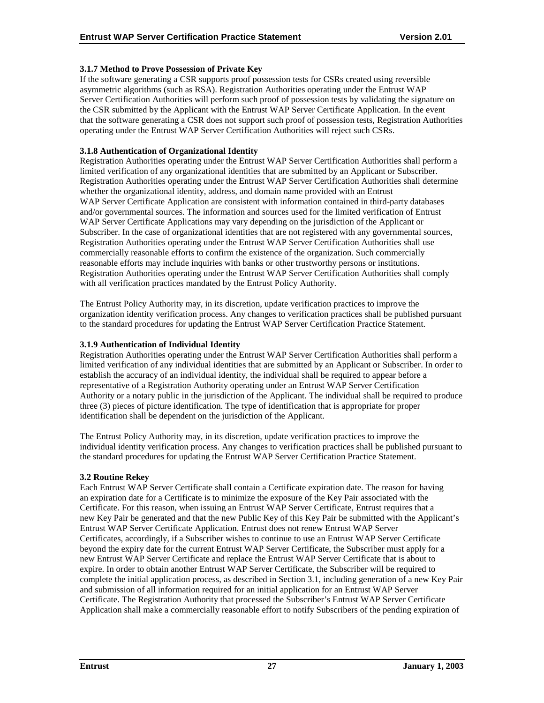## <span id="page-31-0"></span>**3.1.7 Method to Prove Possession of Private Key**

If the software generating a CSR supports proof possession tests for CSRs created using reversible asymmetric algorithms (such as RSA). Registration Authorities operating under the Entrust WAP Server Certification Authorities will perform such proof of possession tests by validating the signature on the CSR submitted by the Applicant with the Entrust WAP Server Certificate Application. In the event that the software generating a CSR does not support such proof of possession tests, Registration Authorities operating under the Entrust WAP Server Certification Authorities will reject such CSRs.

#### **3.1.8 Authentication of Organizational Identity**

Registration Authorities operating under the Entrust WAP Server Certification Authorities shall perform a limited verification of any organizational identities that are submitted by an Applicant or Subscriber. Registration Authorities operating under the Entrust WAP Server Certification Authorities shall determine whether the organizational identity, address, and domain name provided with an Entrust WAP Server Certificate Application are consistent with information contained in third-party databases and/or governmental sources. The information and sources used for the limited verification of Entrust WAP Server Certificate Applications may vary depending on the jurisdiction of the Applicant or Subscriber. In the case of organizational identities that are not registered with any governmental sources, Registration Authorities operating under the Entrust WAP Server Certification Authorities shall use commercially reasonable efforts to confirm the existence of the organization. Such commercially reasonable efforts may include inquiries with banks or other trustworthy persons or institutions. Registration Authorities operating under the Entrust WAP Server Certification Authorities shall comply with all verification practices mandated by the Entrust Policy Authority.

The Entrust Policy Authority may, in its discretion, update verification practices to improve the organization identity verification process. Any changes to verification practices shall be published pursuant to the standard procedures for updating the Entrust WAP Server Certification Practice Statement.

## **3.1.9 Authentication of Individual Identity**

Registration Authorities operating under the Entrust WAP Server Certification Authorities shall perform a limited verification of any individual identities that are submitted by an Applicant or Subscriber. In order to establish the accuracy of an individual identity, the individual shall be required to appear before a representative of a Registration Authority operating under an Entrust WAP Server Certification Authority or a notary public in the jurisdiction of the Applicant. The individual shall be required to produce three (3) pieces of picture identification. The type of identification that is appropriate for proper identification shall be dependent on the jurisdiction of the Applicant.

The Entrust Policy Authority may, in its discretion, update verification practices to improve the individual identity verification process. Any changes to verification practices shall be published pursuant to the standard procedures for updating the Entrust WAP Server Certification Practice Statement.

#### **3.2 Routine Rekey**

Each Entrust WAP Server Certificate shall contain a Certificate expiration date. The reason for having an expiration date for a Certificate is to minimize the exposure of the Key Pair associated with the Certificate. For this reason, when issuing an Entrust WAP Server Certificate, Entrust requires that a new Key Pair be generated and that the new Public Key of this Key Pair be submitted with the Applicant's Entrust WAP Server Certificate Application. Entrust does not renew Entrust WAP Server Certificates, accordingly, if a Subscriber wishes to continue to use an Entrust WAP Server Certificate beyond the expiry date for the current Entrust WAP Server Certificate, the Subscriber must apply for a new Entrust WAP Server Certificate and replace the Entrust WAP Server Certificate that is about to expire. In order to obtain another Entrust WAP Server Certificate, the Subscriber will be required to complete the initial application process, as described in Section 3.1, including generation of a new Key Pair and submission of all information required for an initial application for an Entrust WAP Server Certificate. The Registration Authority that processed the Subscriber's Entrust WAP Server Certificate Application shall make a commercially reasonable effort to notify Subscribers of the pending expiration of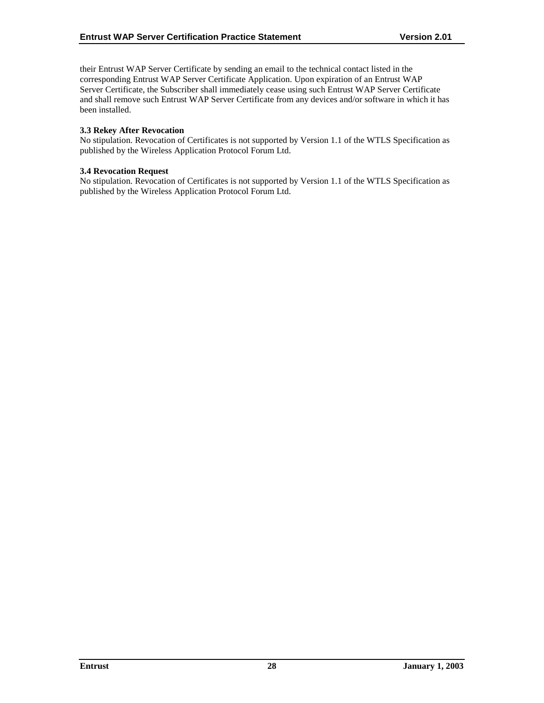<span id="page-32-0"></span>their Entrust WAP Server Certificate by sending an email to the technical contact listed in the corresponding Entrust WAP Server Certificate Application. Upon expiration of an Entrust WAP Server Certificate, the Subscriber shall immediately cease using such Entrust WAP Server Certificate and shall remove such Entrust WAP Server Certificate from any devices and/or software in which it has been installed.

## **3.3 Rekey After Revocation**

No stipulation. Revocation of Certificates is not supported by Version 1.1 of the WTLS Specification as published by the Wireless Application Protocol Forum Ltd.

#### **3.4 Revocation Request**

No stipulation. Revocation of Certificates is not supported by Version 1.1 of the WTLS Specification as published by the Wireless Application Protocol Forum Ltd.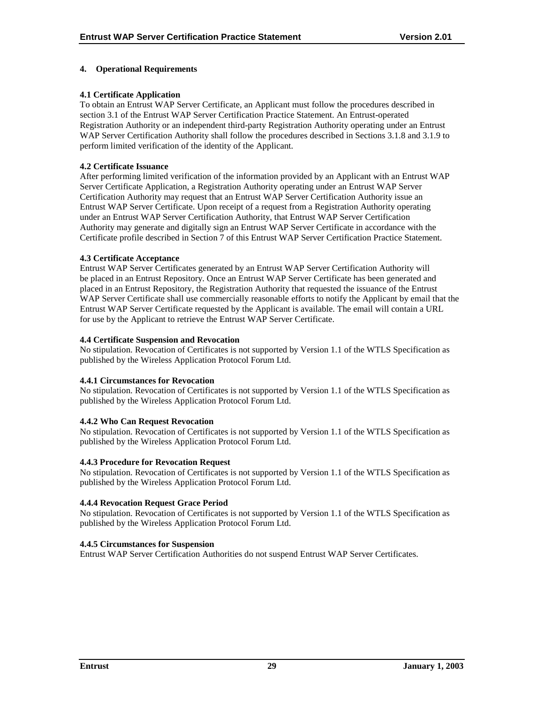## <span id="page-33-0"></span>**4. Operational Requirements**

## **4.1 Certificate Application**

To obtain an Entrust WAP Server Certificate, an Applicant must follow the procedures described in section 3.1 of the Entrust WAP Server Certification Practice Statement. An Entrust-operated Registration Authority or an independent third-party Registration Authority operating under an Entrust WAP Server Certification Authority shall follow the procedures described in Sections 3.1.8 and 3.1.9 to perform limited verification of the identity of the Applicant.

#### **4.2 Certificate Issuance**

After performing limited verification of the information provided by an Applicant with an Entrust WAP Server Certificate Application, a Registration Authority operating under an Entrust WAP Server Certification Authority may request that an Entrust WAP Server Certification Authority issue an Entrust WAP Server Certificate. Upon receipt of a request from a Registration Authority operating under an Entrust WAP Server Certification Authority, that Entrust WAP Server Certification Authority may generate and digitally sign an Entrust WAP Server Certificate in accordance with the Certificate profile described in Section 7 of this Entrust WAP Server Certification Practice Statement.

#### **4.3 Certificate Acceptance**

Entrust WAP Server Certificates generated by an Entrust WAP Server Certification Authority will be placed in an Entrust Repository. Once an Entrust WAP Server Certificate has been generated and placed in an Entrust Repository, the Registration Authority that requested the issuance of the Entrust WAP Server Certificate shall use commercially reasonable efforts to notify the Applicant by email that the Entrust WAP Server Certificate requested by the Applicant is available. The email will contain a URL for use by the Applicant to retrieve the Entrust WAP Server Certificate.

#### **4.4 Certificate Suspension and Revocation**

No stipulation. Revocation of Certificates is not supported by Version 1.1 of the WTLS Specification as published by the Wireless Application Protocol Forum Ltd.

#### **4.4.1 Circumstances for Revocation**

No stipulation. Revocation of Certificates is not supported by Version 1.1 of the WTLS Specification as published by the Wireless Application Protocol Forum Ltd.

## **4.4.2 Who Can Request Revocation**

No stipulation. Revocation of Certificates is not supported by Version 1.1 of the WTLS Specification as published by the Wireless Application Protocol Forum Ltd.

#### **4.4.3 Procedure for Revocation Request**

No stipulation. Revocation of Certificates is not supported by Version 1.1 of the WTLS Specification as published by the Wireless Application Protocol Forum Ltd.

## **4.4.4 Revocation Request Grace Period**

No stipulation. Revocation of Certificates is not supported by Version 1.1 of the WTLS Specification as published by the Wireless Application Protocol Forum Ltd.

## **4.4.5 Circumstances for Suspension**

Entrust WAP Server Certification Authorities do not suspend Entrust WAP Server Certificates.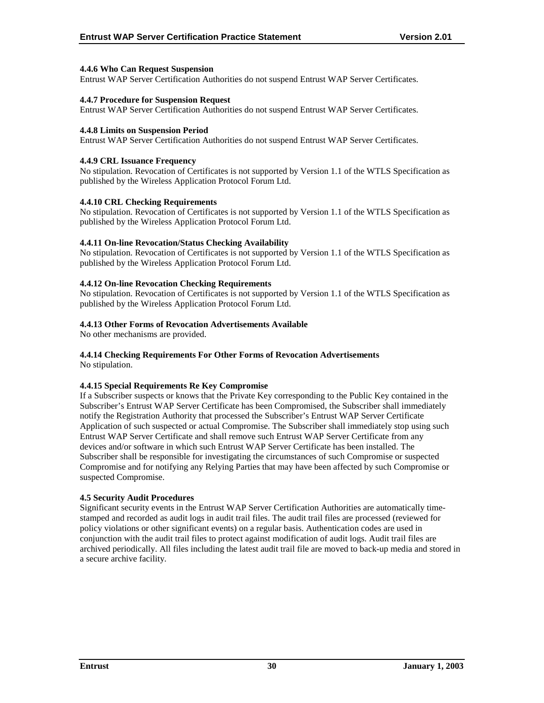## <span id="page-34-0"></span>**4.4.6 Who Can Request Suspension**

Entrust WAP Server Certification Authorities do not suspend Entrust WAP Server Certificates.

#### **4.4.7 Procedure for Suspension Request**

Entrust WAP Server Certification Authorities do not suspend Entrust WAP Server Certificates.

#### **4.4.8 Limits on Suspension Period**

Entrust WAP Server Certification Authorities do not suspend Entrust WAP Server Certificates.

## **4.4.9 CRL Issuance Frequency**

No stipulation. Revocation of Certificates is not supported by Version 1.1 of the WTLS Specification as published by the Wireless Application Protocol Forum Ltd.

## **4.4.10 CRL Checking Requirements**

No stipulation. Revocation of Certificates is not supported by Version 1.1 of the WTLS Specification as published by the Wireless Application Protocol Forum Ltd.

## **4.4.11 On-line Revocation/Status Checking Availability**

No stipulation. Revocation of Certificates is not supported by Version 1.1 of the WTLS Specification as published by the Wireless Application Protocol Forum Ltd.

## **4.4.12 On-line Revocation Checking Requirements**

No stipulation. Revocation of Certificates is not supported by Version 1.1 of the WTLS Specification as published by the Wireless Application Protocol Forum Ltd.

## **4.4.13 Other Forms of Revocation Advertisements Available**

No other mechanisms are provided.

## **4.4.14 Checking Requirements For Other Forms of Revocation Advertisements**

No stipulation.

## **4.4.15 Special Requirements Re Key Compromise**

If a Subscriber suspects or knows that the Private Key corresponding to the Public Key contained in the Subscriber's Entrust WAP Server Certificate has been Compromised, the Subscriber shall immediately notify the Registration Authority that processed the Subscriber's Entrust WAP Server Certificate Application of such suspected or actual Compromise. The Subscriber shall immediately stop using such Entrust WAP Server Certificate and shall remove such Entrust WAP Server Certificate from any devices and/or software in which such Entrust WAP Server Certificate has been installed. The Subscriber shall be responsible for investigating the circumstances of such Compromise or suspected Compromise and for notifying any Relying Parties that may have been affected by such Compromise or suspected Compromise.

#### **4.5 Security Audit Procedures**

Significant security events in the Entrust WAP Server Certification Authorities are automatically timestamped and recorded as audit logs in audit trail files. The audit trail files are processed (reviewed for policy violations or other significant events) on a regular basis. Authentication codes are used in conjunction with the audit trail files to protect against modification of audit logs. Audit trail files are archived periodically. All files including the latest audit trail file are moved to back-up media and stored in a secure archive facility.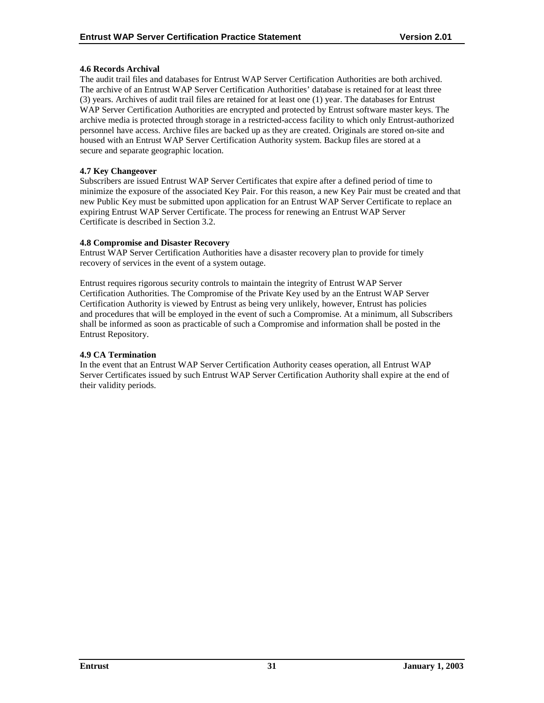## <span id="page-35-0"></span>**4.6 Records Archival**

The audit trail files and databases for Entrust WAP Server Certification Authorities are both archived. The archive of an Entrust WAP Server Certification Authorities' database is retained for at least three (3) years. Archives of audit trail files are retained for at least one (1) year. The databases for Entrust WAP Server Certification Authorities are encrypted and protected by Entrust software master keys. The archive media is protected through storage in a restricted-access facility to which only Entrust-authorized personnel have access. Archive files are backed up as they are created. Originals are stored on-site and housed with an Entrust WAP Server Certification Authority system. Backup files are stored at a secure and separate geographic location.

## **4.7 Key Changeover**

Subscribers are issued Entrust WAP Server Certificates that expire after a defined period of time to minimize the exposure of the associated Key Pair. For this reason, a new Key Pair must be created and that new Public Key must be submitted upon application for an Entrust WAP Server Certificate to replace an expiring Entrust WAP Server Certificate. The process for renewing an Entrust WAP Server Certificate is described in Section 3.2.

## **4.8 Compromise and Disaster Recovery**

Entrust WAP Server Certification Authorities have a disaster recovery plan to provide for timely recovery of services in the event of a system outage.

Entrust requires rigorous security controls to maintain the integrity of Entrust WAP Server Certification Authorities. The Compromise of the Private Key used by an the Entrust WAP Server Certification Authority is viewed by Entrust as being very unlikely, however, Entrust has policies and procedures that will be employed in the event of such a Compromise. At a minimum, all Subscribers shall be informed as soon as practicable of such a Compromise and information shall be posted in the Entrust Repository.

#### **4.9 CA Termination**

In the event that an Entrust WAP Server Certification Authority ceases operation, all Entrust WAP Server Certificates issued by such Entrust WAP Server Certification Authority shall expire at the end of their validity periods.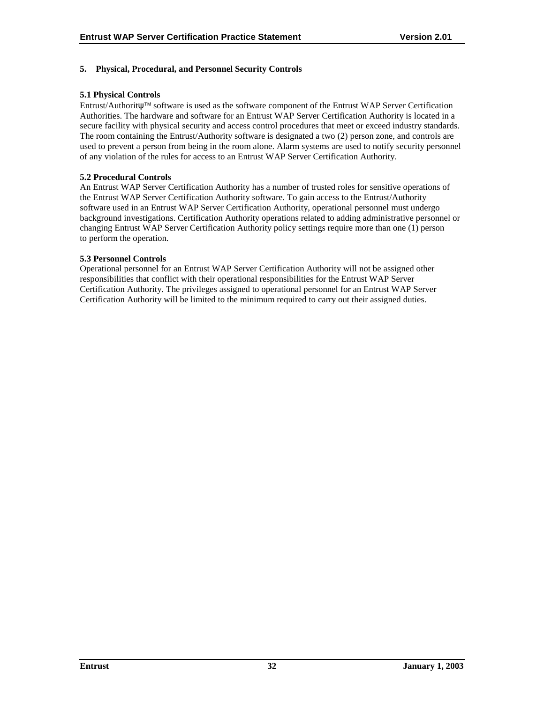## <span id="page-36-0"></span>**5. Physical, Procedural, and Personnel Security Controls**

## **5.1 Physical Controls**

Entrust/Authoritψ software is used as the software component of the Entrust WAP Server Certification Authorities. The hardware and software for an Entrust WAP Server Certification Authority is located in a secure facility with physical security and access control procedures that meet or exceed industry standards. The room containing the Entrust/Authority software is designated a two (2) person zone, and controls are used to prevent a person from being in the room alone. Alarm systems are used to notify security personnel of any violation of the rules for access to an Entrust WAP Server Certification Authority.

## **5.2 Procedural Controls**

An Entrust WAP Server Certification Authority has a number of trusted roles for sensitive operations of the Entrust WAP Server Certification Authority software. To gain access to the Entrust/Authority software used in an Entrust WAP Server Certification Authority, operational personnel must undergo background investigations. Certification Authority operations related to adding administrative personnel or changing Entrust WAP Server Certification Authority policy settings require more than one (1) person to perform the operation.

## **5.3 Personnel Controls**

Operational personnel for an Entrust WAP Server Certification Authority will not be assigned other responsibilities that conflict with their operational responsibilities for the Entrust WAP Server Certification Authority. The privileges assigned to operational personnel for an Entrust WAP Server Certification Authority will be limited to the minimum required to carry out their assigned duties.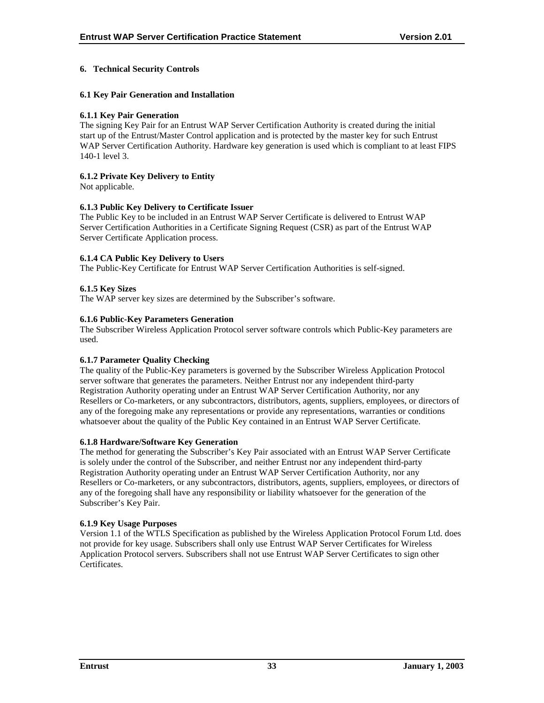## <span id="page-37-0"></span>**6. Technical Security Controls**

#### **6.1 Key Pair Generation and Installation**

#### **6.1.1 Key Pair Generation**

The signing Key Pair for an Entrust WAP Server Certification Authority is created during the initial start up of the Entrust/Master Control application and is protected by the master key for such Entrust WAP Server Certification Authority. Hardware key generation is used which is compliant to at least FIPS 140-1 level 3.

## **6.1.2 Private Key Delivery to Entity**

Not applicable.

## **6.1.3 Public Key Delivery to Certificate Issuer**

The Public Key to be included in an Entrust WAP Server Certificate is delivered to Entrust WAP Server Certification Authorities in a Certificate Signing Request (CSR) as part of the Entrust WAP Server Certificate Application process.

## **6.1.4 CA Public Key Delivery to Users**

The Public-Key Certificate for Entrust WAP Server Certification Authorities is self-signed.

## **6.1.5 Key Sizes**

The WAP server key sizes are determined by the Subscriber's software.

## **6.1.6 Public-Key Parameters Generation**

The Subscriber Wireless Application Protocol server software controls which Public-Key parameters are used.

#### **6.1.7 Parameter Quality Checking**

The quality of the Public-Key parameters is governed by the Subscriber Wireless Application Protocol server software that generates the parameters. Neither Entrust nor any independent third-party Registration Authority operating under an Entrust WAP Server Certification Authority, nor any Resellers or Co-marketers, or any subcontractors, distributors, agents, suppliers, employees, or directors of any of the foregoing make any representations or provide any representations, warranties or conditions whatsoever about the quality of the Public Key contained in an Entrust WAP Server Certificate.

#### **6.1.8 Hardware/Software Key Generation**

The method for generating the Subscriber's Key Pair associated with an Entrust WAP Server Certificate is solely under the control of the Subscriber, and neither Entrust nor any independent third-party Registration Authority operating under an Entrust WAP Server Certification Authority, nor any Resellers or Co-marketers, or any subcontractors, distributors, agents, suppliers, employees, or directors of any of the foregoing shall have any responsibility or liability whatsoever for the generation of the Subscriber's Key Pair.

#### **6.1.9 Key Usage Purposes**

Version 1.1 of the WTLS Specification as published by the Wireless Application Protocol Forum Ltd. does not provide for key usage. Subscribers shall only use Entrust WAP Server Certificates for Wireless Application Protocol servers. Subscribers shall not use Entrust WAP Server Certificates to sign other Certificates.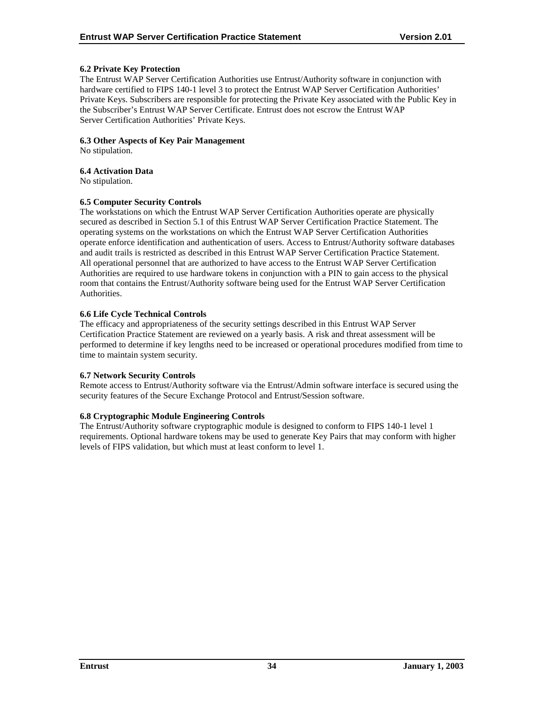## <span id="page-38-0"></span>**6.2 Private Key Protection**

The Entrust WAP Server Certification Authorities use Entrust/Authority software in conjunction with hardware certified to FIPS 140-1 level 3 to protect the Entrust WAP Server Certification Authorities' Private Keys. Subscribers are responsible for protecting the Private Key associated with the Public Key in the Subscriber's Entrust WAP Server Certificate. Entrust does not escrow the Entrust WAP Server Certification Authorities' Private Keys.

#### **6.3 Other Aspects of Key Pair Management**

No stipulation.

#### **6.4 Activation Data**

No stipulation.

#### **6.5 Computer Security Controls**

The workstations on which the Entrust WAP Server Certification Authorities operate are physically secured as described in Section 5.1 of this Entrust WAP Server Certification Practice Statement. The operating systems on the workstations on which the Entrust WAP Server Certification Authorities operate enforce identification and authentication of users. Access to Entrust/Authority software databases and audit trails is restricted as described in this Entrust WAP Server Certification Practice Statement. All operational personnel that are authorized to have access to the Entrust WAP Server Certification Authorities are required to use hardware tokens in conjunction with a PIN to gain access to the physical room that contains the Entrust/Authority software being used for the Entrust WAP Server Certification Authorities.

## **6.6 Life Cycle Technical Controls**

The efficacy and appropriateness of the security settings described in this Entrust WAP Server Certification Practice Statement are reviewed on a yearly basis. A risk and threat assessment will be performed to determine if key lengths need to be increased or operational procedures modified from time to time to maintain system security.

#### **6.7 Network Security Controls**

Remote access to Entrust/Authority software via the Entrust/Admin software interface is secured using the security features of the Secure Exchange Protocol and Entrust/Session software.

#### **6.8 Cryptographic Module Engineering Controls**

The Entrust/Authority software cryptographic module is designed to conform to FIPS 140-1 level 1 requirements. Optional hardware tokens may be used to generate Key Pairs that may conform with higher levels of FIPS validation, but which must at least conform to level 1.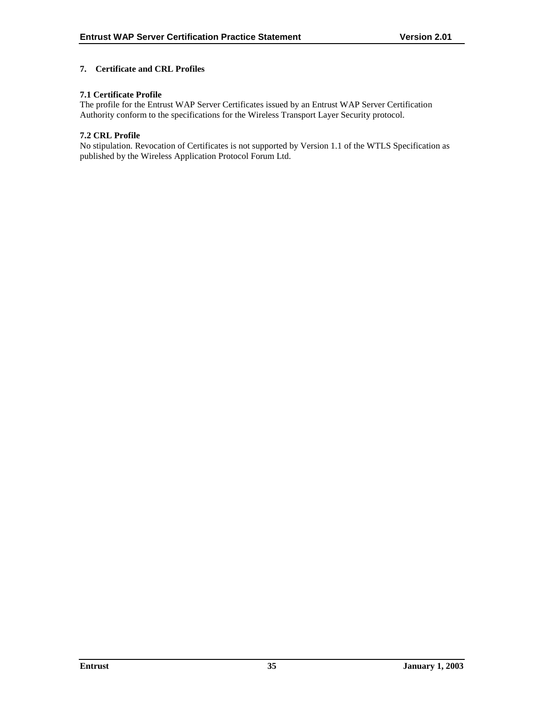## <span id="page-39-0"></span>**7. Certificate and CRL Profiles**

## **7.1 Certificate Profile**

The profile for the Entrust WAP Server Certificates issued by an Entrust WAP Server Certification Authority conform to the specifications for the Wireless Transport Layer Security protocol.

#### **7.2 CRL Profile**

No stipulation. Revocation of Certificates is not supported by Version 1.1 of the WTLS Specification as published by the Wireless Application Protocol Forum Ltd.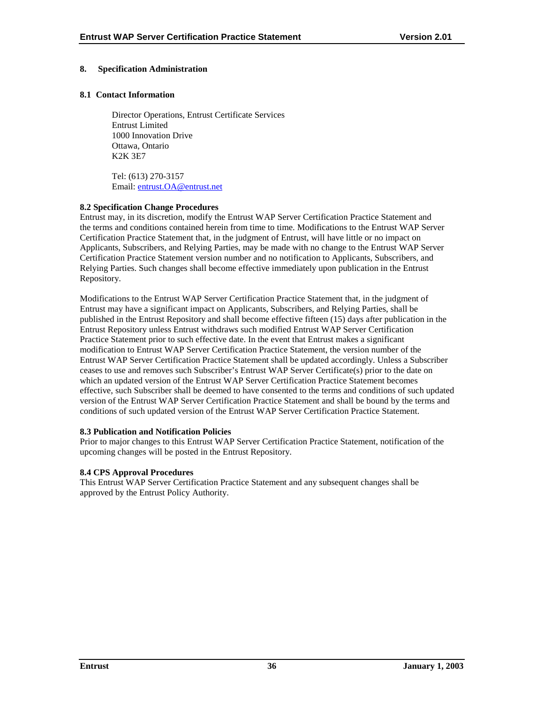## <span id="page-40-0"></span>**8. Specification Administration**

#### **8.1 Contact Information**

Director Operations, Entrust Certificate Services Entrust Limited 1000 Innovation Drive Ottawa, Ontario K2K 3E7

Tel: (613) 270-3157 Email: [entrust.OA@entrust.net](mailto:entrust.OA@entrust.net)

## **8.2 Specification Change Procedures**

Entrust may, in its discretion, modify the Entrust WAP Server Certification Practice Statement and the terms and conditions contained herein from time to time. Modifications to the Entrust WAP Server Certification Practice Statement that, in the judgment of Entrust, will have little or no impact on Applicants, Subscribers, and Relying Parties, may be made with no change to the Entrust WAP Server Certification Practice Statement version number and no notification to Applicants, Subscribers, and Relying Parties. Such changes shall become effective immediately upon publication in the Entrust Repository.

Modifications to the Entrust WAP Server Certification Practice Statement that, in the judgment of Entrust may have a significant impact on Applicants, Subscribers, and Relying Parties, shall be published in the Entrust Repository and shall become effective fifteen (15) days after publication in the Entrust Repository unless Entrust withdraws such modified Entrust WAP Server Certification Practice Statement prior to such effective date. In the event that Entrust makes a significant modification to Entrust WAP Server Certification Practice Statement, the version number of the Entrust WAP Server Certification Practice Statement shall be updated accordingly. Unless a Subscriber ceases to use and removes such Subscriber's Entrust WAP Server Certificate(s) prior to the date on which an updated version of the Entrust WAP Server Certification Practice Statement becomes effective, such Subscriber shall be deemed to have consented to the terms and conditions of such updated version of the Entrust WAP Server Certification Practice Statement and shall be bound by the terms and conditions of such updated version of the Entrust WAP Server Certification Practice Statement.

#### **8.3 Publication and Notification Policies**

Prior to major changes to this Entrust WAP Server Certification Practice Statement, notification of the upcoming changes will be posted in the Entrust Repository.

#### **8.4 CPS Approval Procedures**

This Entrust WAP Server Certification Practice Statement and any subsequent changes shall be approved by the Entrust Policy Authority.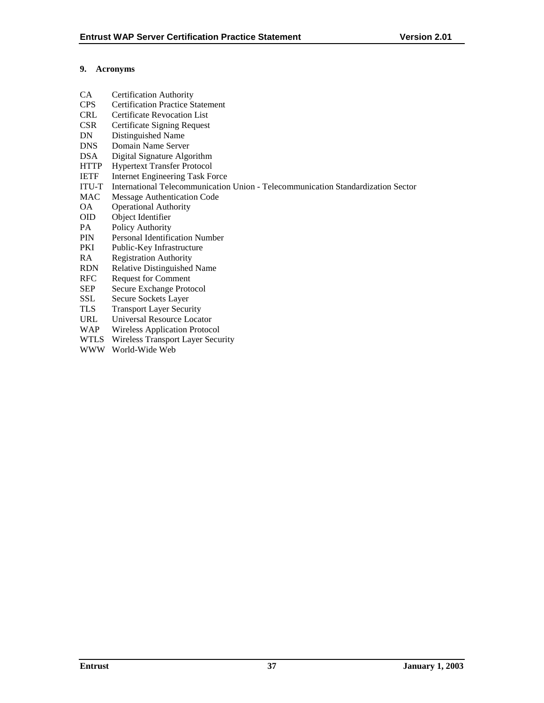## <span id="page-41-0"></span>**9. Acronyms**

- CA Certification Authority
- CPS Certification Practice Statement
- CRL Certificate Revocation List
- CSR Certificate Signing Request
- DN Distinguished Name
- DNS Domain Name Server
- DSA Digital Signature Algorithm
- HTTP Hypertext Transfer Protocol
- IETF Internet Engineering Task Force
- ITU-T International Telecommunication Union Telecommunication Standardization Sector
- MAC Message Authentication Code
- OA Operational Authority
- OID Object Identifier
- PA Policy Authority
- PIN Personal Identification Number
- PKI Public-Key Infrastructure
- RA Registration Authority
- RDN Relative Distinguished Name
- RFC Request for Comment
- SEP Secure Exchange Protocol
- SSL Secure Sockets Layer
- TLS Transport Layer Security
- URL Universal Resource Locator
- WAP Wireless Application Protocol
- WTLS Wireless Transport Layer Security
- WWW World-Wide Web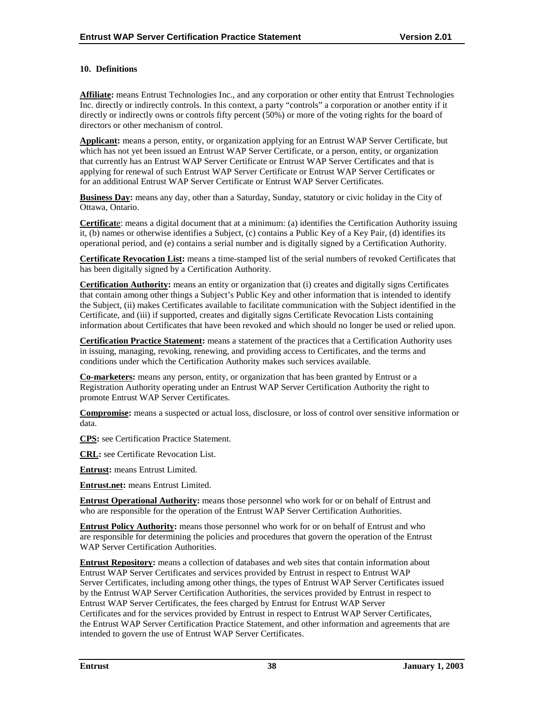## <span id="page-42-0"></span>**10. Definitions**

**Affiliate:** means Entrust Technologies Inc., and any corporation or other entity that Entrust Technologies Inc. directly or indirectly controls. In this context, a party "controls" a corporation or another entity if it directly or indirectly owns or controls fifty percent (50%) or more of the voting rights for the board of directors or other mechanism of control.

**Applicant:** means a person, entity, or organization applying for an Entrust WAP Server Certificate, but which has not yet been issued an Entrust WAP Server Certificate, or a person, entity, or organization that currently has an Entrust WAP Server Certificate or Entrust WAP Server Certificates and that is applying for renewal of such Entrust WAP Server Certificate or Entrust WAP Server Certificates or for an additional Entrust WAP Server Certificate or Entrust WAP Server Certificates.

**Business Day:** means any day, other than a Saturday, Sunday, statutory or civic holiday in the City of Ottawa, Ontario.

**Certificat**e: means a digital document that at a minimum: (a) identifies the Certification Authority issuing it, (b) names or otherwise identifies a Subject, (c) contains a Public Key of a Key Pair, (d) identifies its operational period, and (e) contains a serial number and is digitally signed by a Certification Authority.

**Certificate Revocation List:** means a time-stamped list of the serial numbers of revoked Certificates that has been digitally signed by a Certification Authority.

**Certification Authority:** means an entity or organization that (i) creates and digitally signs Certificates that contain among other things a Subject's Public Key and other information that is intended to identify the Subject, (ii) makes Certificates available to facilitate communication with the Subject identified in the Certificate, and (iii) if supported, creates and digitally signs Certificate Revocation Lists containing information about Certificates that have been revoked and which should no longer be used or relied upon.

**Certification Practice Statement:** means a statement of the practices that a Certification Authority uses in issuing, managing, revoking, renewing, and providing access to Certificates, and the terms and conditions under which the Certification Authority makes such services available.

**Co-marketers:** means any person, entity, or organization that has been granted by Entrust or a Registration Authority operating under an Entrust WAP Server Certification Authority the right to promote Entrust WAP Server Certificates.

**Compromise:** means a suspected or actual loss, disclosure, or loss of control over sensitive information or data.

**CPS:** see Certification Practice Statement.

**CRL:** see Certificate Revocation List.

**Entrust:** means Entrust Limited.

**Entrust.net:** means Entrust Limited.

**Entrust Operational Authority:** means those personnel who work for or on behalf of Entrust and who are responsible for the operation of the Entrust WAP Server Certification Authorities.

**Entrust Policy Authority:** means those personnel who work for or on behalf of Entrust and who are responsible for determining the policies and procedures that govern the operation of the Entrust WAP Server Certification Authorities.

**Entrust Repository:** means a collection of databases and web sites that contain information about Entrust WAP Server Certificates and services provided by Entrust in respect to Entrust WAP Server Certificates, including among other things, the types of Entrust WAP Server Certificates issued by the Entrust WAP Server Certification Authorities, the services provided by Entrust in respect to Entrust WAP Server Certificates, the fees charged by Entrust for Entrust WAP Server Certificates and for the services provided by Entrust in respect to Entrust WAP Server Certificates, the Entrust WAP Server Certification Practice Statement, and other information and agreements that are intended to govern the use of Entrust WAP Server Certificates.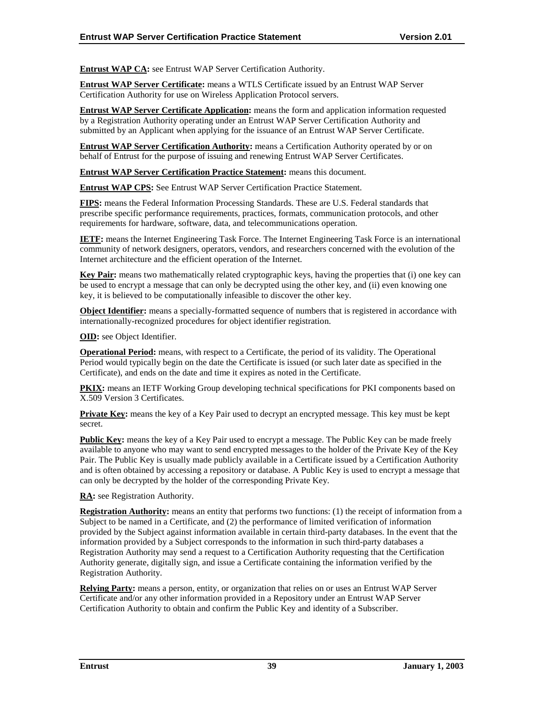**Entrust WAP CA:** see Entrust WAP Server Certification Authority.

**Entrust WAP Server Certificate:** means a WTLS Certificate issued by an Entrust WAP Server Certification Authority for use on Wireless Application Protocol servers.

**Entrust WAP Server Certificate Application:** means the form and application information requested by a Registration Authority operating under an Entrust WAP Server Certification Authority and submitted by an Applicant when applying for the issuance of an Entrust WAP Server Certificate.

**Entrust WAP Server Certification Authority:** means a Certification Authority operated by or on behalf of Entrust for the purpose of issuing and renewing Entrust WAP Server Certificates.

**Entrust WAP Server Certification Practice Statement:** means this document.

**Entrust WAP CPS:** See Entrust WAP Server Certification Practice Statement.

**FIPS:** means the Federal Information Processing Standards. These are U.S. Federal standards that prescribe specific performance requirements, practices, formats, communication protocols, and other requirements for hardware, software, data, and telecommunications operation.

**IETF:** means the Internet Engineering Task Force. The Internet Engineering Task Force is an international community of network designers, operators, vendors, and researchers concerned with the evolution of the Internet architecture and the efficient operation of the Internet.

**Key Pair:** means two mathematically related cryptographic keys, having the properties that (i) one key can be used to encrypt a message that can only be decrypted using the other key, and (ii) even knowing one key, it is believed to be computationally infeasible to discover the other key.

**Object Identifier:** means a specially-formatted sequence of numbers that is registered in accordance with internationally-recognized procedures for object identifier registration.

**OID:** see Object Identifier.

**Operational Period:** means, with respect to a Certificate, the period of its validity. The Operational Period would typically begin on the date the Certificate is issued (or such later date as specified in the Certificate), and ends on the date and time it expires as noted in the Certificate.

**PKIX:** means an IETF Working Group developing technical specifications for PKI components based on X.509 Version 3 Certificates.

**Private Key:** means the key of a Key Pair used to decrypt an encrypted message. This key must be kept secret.

**Public Key:** means the key of a Key Pair used to encrypt a message. The Public Key can be made freely available to anyone who may want to send encrypted messages to the holder of the Private Key of the Key Pair. The Public Key is usually made publicly available in a Certificate issued by a Certification Authority and is often obtained by accessing a repository or database. A Public Key is used to encrypt a message that can only be decrypted by the holder of the corresponding Private Key.

**RA:** see Registration Authority.

**Registration Authority:** means an entity that performs two functions: (1) the receipt of information from a Subject to be named in a Certificate, and (2) the performance of limited verification of information provided by the Subject against information available in certain third-party databases. In the event that the information provided by a Subject corresponds to the information in such third-party databases a Registration Authority may send a request to a Certification Authority requesting that the Certification Authority generate, digitally sign, and issue a Certificate containing the information verified by the Registration Authority.

**Relying Party:** means a person, entity, or organization that relies on or uses an Entrust WAP Server Certificate and/or any other information provided in a Repository under an Entrust WAP Server Certification Authority to obtain and confirm the Public Key and identity of a Subscriber.